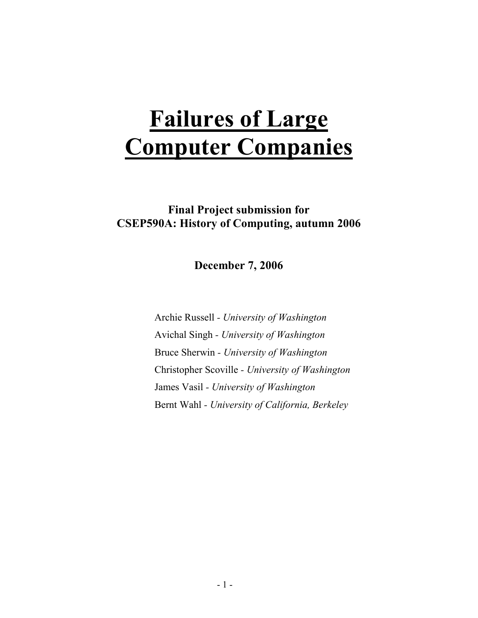# Failures of Large Computer Companies

Final Project submission for CSEP590A: History of Computing, autumn 2006

December 7, 2006

Archie Russell - University of Washington Avichal Singh - University of Washington Bruce Sherwin - University of Washington Christopher Scoville - University of Washington James Vasil - University of Washington Bernt Wahl - University of California, Berkeley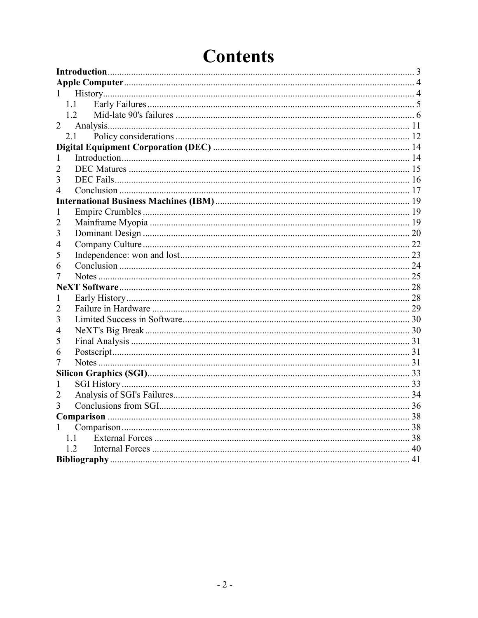| 1              |  |
|----------------|--|
| 1.1            |  |
| 1.2            |  |
| $\overline{2}$ |  |
| 2.1            |  |
|                |  |
| 1              |  |
|                |  |
| 3              |  |
| 4              |  |
|                |  |
| 1              |  |
| 2              |  |
| 3              |  |
| 4              |  |
| 5              |  |
| 6              |  |
| Ί              |  |
|                |  |
| 1              |  |
| 2              |  |
| 3              |  |
| 4              |  |
| 5              |  |
| 6              |  |
| 7              |  |
|                |  |
| 1              |  |
| 2              |  |
| 3              |  |
|                |  |
| 1              |  |
| 1.1            |  |
| 1.2            |  |
|                |  |

## **Contents**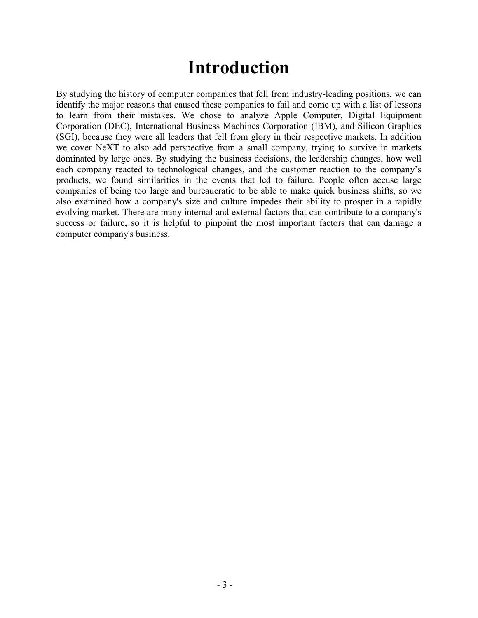## Introduction

By studying the history of computer companies that fell from industry-leading positions, we can identify the major reasons that caused these companies to fail and come up with a list of lessons to learn from their mistakes. We chose to analyze Apple Computer, Digital Equipment Corporation (DEC), International Business Machines Corporation (IBM), and Silicon Graphics (SGI), because they were all leaders that fell from glory in their respective markets. In addition we cover NeXT to also add perspective from a small company, trying to survive in markets dominated by large ones. By studying the business decisions, the leadership changes, how well each company reacted to technological changes, and the customer reaction to the company's products, we found similarities in the events that led to failure. People often accuse large companies of being too large and bureaucratic to be able to make quick business shifts, so we also examined how a company's size and culture impedes their ability to prosper in a rapidly evolving market. There are many internal and external factors that can contribute to a company's success or failure, so it is helpful to pinpoint the most important factors that can damage a computer company's business.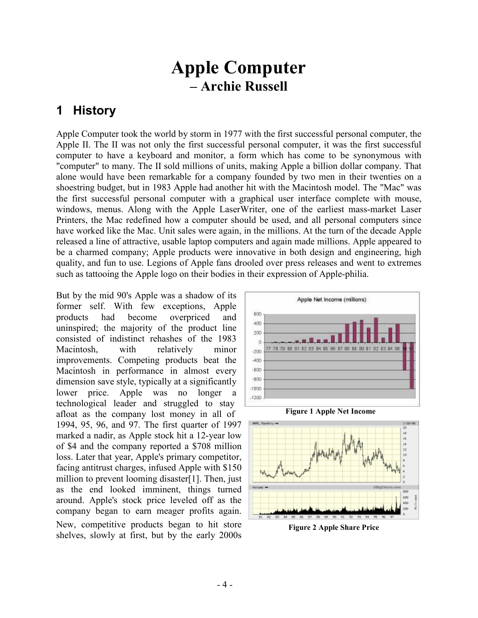## Apple Computer – Archie Russell

#### 1 History

Apple Computer took the world by storm in 1977 with the first successful personal computer, the Apple II. The II was not only the first successful personal computer, it was the first successful computer to have a keyboard and monitor, a form which has come to be synonymous with "computer" to many. The II sold millions of units, making Apple a billion dollar company. That alone would have been remarkable for a company founded by two men in their twenties on a shoestring budget, but in 1983 Apple had another hit with the Macintosh model. The "Mac" was the first successful personal computer with a graphical user interface complete with mouse, windows, menus. Along with the Apple LaserWriter, one of the earliest mass-market Laser Printers, the Mac redefined how a computer should be used, and all personal computers since have worked like the Mac. Unit sales were again, in the millions. At the turn of the decade Apple released a line of attractive, usable laptop computers and again made millions. Apple appeared to be a charmed company; Apple products were innovative in both design and engineering, high quality, and fun to use. Legions of Apple fans drooled over press releases and went to extremes such as tattooing the Apple logo on their bodies in their expression of Apple-philia.

But by the mid 90's Apple was a shadow of its former self. With few exceptions, Apple products had become overpriced and uninspired; the majority of the product line consisted of indistinct rehashes of the 1983 Macintosh, with relatively minor improvements. Competing products beat the Macintosh in performance in almost every dimension save style, typically at a significantly lower price. Apple was no longer a technological leader and struggled to stay afloat as the company lost money in all of 1994, 95, 96, and 97. The first quarter of 1997 marked a nadir, as Apple stock hit a 12-year low of \$4 and the company reported a \$708 million loss. Later that year, Apple's primary competitor, facing antitrust charges, infused Apple with \$150 million to prevent looming disaster[1]. Then, just as the end looked imminent, things turned around. Apple's stock price leveled off as the company began to earn meager profits again. New, competitive products began to hit store shelves, slowly at first, but by the early 2000s







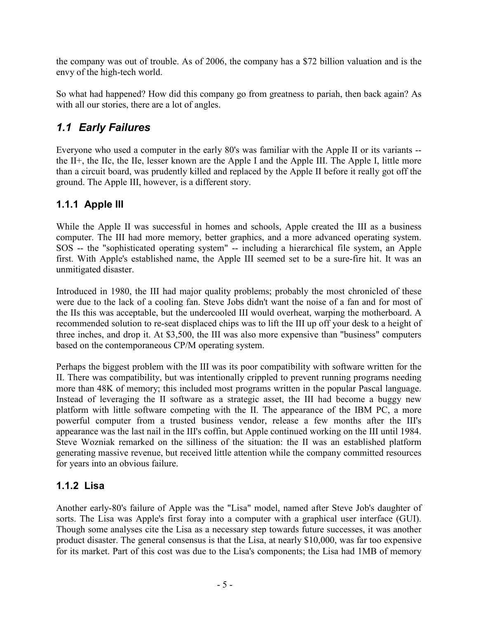the company was out of trouble. As of 2006, the company has a \$72 billion valuation and is the envy of the high-tech world.

So what had happened? How did this company go from greatness to pariah, then back again? As with all our stories, there are a lot of angles.

#### 1.1 Early Failures

Everyone who used a computer in the early 80's was familiar with the Apple II or its variants - the II<sup>+</sup>, the IIc, the IIe, lesser known are the Apple I and the Apple III. The Apple I, little more than a circuit board, was prudently killed and replaced by the Apple II before it really got off the ground. The Apple III, however, is a different story.

#### 1.1.1 Apple III

While the Apple II was successful in homes and schools, Apple created the III as a business computer. The III had more memory, better graphics, and a more advanced operating system. SOS -- the "sophisticated operating system" -- including a hierarchical file system, an Apple first. With Apple's established name, the Apple III seemed set to be a sure-fire hit. It was an unmitigated disaster.

Introduced in 1980, the III had major quality problems; probably the most chronicled of these were due to the lack of a cooling fan. Steve Jobs didn't want the noise of a fan and for most of the IIs this was acceptable, but the undercooled III would overheat, warping the motherboard. A recommended solution to re-seat displaced chips was to lift the III up off your desk to a height of three inches, and drop it. At \$3,500, the III was also more expensive than "business" computers based on the contemporaneous CP/M operating system.

Perhaps the biggest problem with the III was its poor compatibility with software written for the II. There was compatibility, but was intentionally crippled to prevent running programs needing more than 48K of memory; this included most programs written in the popular Pascal language. Instead of leveraging the II software as a strategic asset, the III had become a buggy new platform with little software competing with the II. The appearance of the IBM PC, a more powerful computer from a trusted business vendor, release a few months after the III's appearance was the last nail in the III's coffin, but Apple continued working on the III until 1984. Steve Wozniak remarked on the silliness of the situation: the II was an established platform generating massive revenue, but received little attention while the company committed resources for years into an obvious failure.

#### 1.1.2 Lisa

Another early-80's failure of Apple was the "Lisa" model, named after Steve Job's daughter of sorts. The Lisa was Apple's first foray into a computer with a graphical user interface (GUI). Though some analyses cite the Lisa as a necessary step towards future successes, it was another product disaster. The general consensus is that the Lisa, at nearly \$10,000, was far too expensive for its market. Part of this cost was due to the Lisa's components; the Lisa had 1MB of memory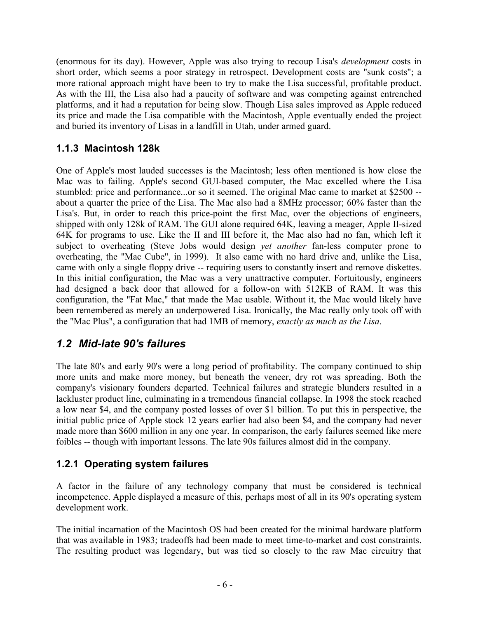(enormous for its day). However, Apple was also trying to recoup Lisa's development costs in short order, which seems a poor strategy in retrospect. Development costs are "sunk costs"; a more rational approach might have been to try to make the Lisa successful, profitable product. As with the III, the Lisa also had a paucity of software and was competing against entrenched platforms, and it had a reputation for being slow. Though Lisa sales improved as Apple reduced its price and made the Lisa compatible with the Macintosh, Apple eventually ended the project and buried its inventory of Lisas in a landfill in Utah, under armed guard.

#### 1.1.3 Macintosh 128k

One of Apple's most lauded successes is the Macintosh; less often mentioned is how close the Mac was to failing. Apple's second GUI-based computer, the Mac excelled where the Lisa stumbled: price and performance...or so it seemed. The original Mac came to market at \$2500 - about a quarter the price of the Lisa. The Mac also had a 8MHz processor; 60% faster than the Lisa's. But, in order to reach this price-point the first Mac, over the objections of engineers, shipped with only 128k of RAM. The GUI alone required 64K, leaving a meager, Apple II-sized 64K for programs to use. Like the II and III before it, the Mac also had no fan, which left it subject to overheating (Steve Jobs would design *yet another* fan-less computer prone to overheating, the "Mac Cube", in 1999). It also came with no hard drive and, unlike the Lisa, came with only a single floppy drive -- requiring users to constantly insert and remove diskettes. In this initial configuration, the Mac was a very unattractive computer. Fortuitously, engineers had designed a back door that allowed for a follow-on with 512KB of RAM. It was this configuration, the "Fat Mac," that made the Mac usable. Without it, the Mac would likely have been remembered as merely an underpowered Lisa. Ironically, the Mac really only took off with the "Mac Plus", a configuration that had 1MB of memory, exactly as much as the Lisa.

#### 1.2 Mid-late 90's failures

The late 80's and early 90's were a long period of profitability. The company continued to ship more units and make more money, but beneath the veneer, dry rot was spreading. Both the company's visionary founders departed. Technical failures and strategic blunders resulted in a lackluster product line, culminating in a tremendous financial collapse. In 1998 the stock reached a low near \$4, and the company posted losses of over \$1 billion. To put this in perspective, the initial public price of Apple stock 12 years earlier had also been \$4, and the company had never made more than \$600 million in any one year. In comparison, the early failures seemed like mere foibles -- though with important lessons. The late 90s failures almost did in the company.

#### 1.2.1 Operating system failures

A factor in the failure of any technology company that must be considered is technical incompetence. Apple displayed a measure of this, perhaps most of all in its 90's operating system development work.

The initial incarnation of the Macintosh OS had been created for the minimal hardware platform that was available in 1983; tradeoffs had been made to meet time-to-market and cost constraints. The resulting product was legendary, but was tied so closely to the raw Mac circuitry that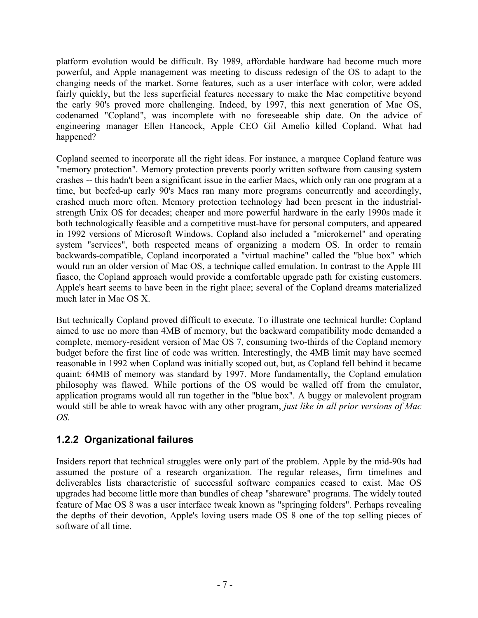platform evolution would be difficult. By 1989, affordable hardware had become much more powerful, and Apple management was meeting to discuss redesign of the OS to adapt to the changing needs of the market. Some features, such as a user interface with color, were added fairly quickly, but the less superficial features necessary to make the Mac competitive beyond the early 90's proved more challenging. Indeed, by 1997, this next generation of Mac OS, codenamed "Copland", was incomplete with no foreseeable ship date. On the advice of engineering manager Ellen Hancock, Apple CEO Gil Amelio killed Copland. What had happened?

Copland seemed to incorporate all the right ideas. For instance, a marquee Copland feature was "memory protection". Memory protection prevents poorly written software from causing system crashes -- this hadn't been a significant issue in the earlier Macs, which only ran one program at a time, but beefed-up early 90's Macs ran many more programs concurrently and accordingly, crashed much more often. Memory protection technology had been present in the industrialstrength Unix OS for decades; cheaper and more powerful hardware in the early 1990s made it both technologically feasible and a competitive must-have for personal computers, and appeared in 1992 versions of Microsoft Windows. Copland also included a "microkernel" and operating system "services", both respected means of organizing a modern OS. In order to remain backwards-compatible, Copland incorporated a "virtual machine" called the "blue box" which would run an older version of Mac OS, a technique called emulation. In contrast to the Apple III fiasco, the Copland approach would provide a comfortable upgrade path for existing customers. Apple's heart seems to have been in the right place; several of the Copland dreams materialized much later in Mac OS X.

But technically Copland proved difficult to execute. To illustrate one technical hurdle: Copland aimed to use no more than 4MB of memory, but the backward compatibility mode demanded a complete, memory-resident version of Mac OS 7, consuming two-thirds of the Copland memory budget before the first line of code was written. Interestingly, the 4MB limit may have seemed reasonable in 1992 when Copland was initially scoped out, but, as Copland fell behind it became quaint: 64MB of memory was standard by 1997. More fundamentally, the Copland emulation philosophy was flawed. While portions of the OS would be walled off from the emulator, application programs would all run together in the "blue box". A buggy or malevolent program would still be able to wreak havoc with any other program, just like in all prior versions of Mac OS.

#### 1.2.2 Organizational failures

Insiders report that technical struggles were only part of the problem. Apple by the mid-90s had assumed the posture of a research organization. The regular releases, firm timelines and deliverables lists characteristic of successful software companies ceased to exist. Mac OS upgrades had become little more than bundles of cheap "shareware" programs. The widely touted feature of Mac OS 8 was a user interface tweak known as "springing folders". Perhaps revealing the depths of their devotion, Apple's loving users made OS 8 one of the top selling pieces of software of all time.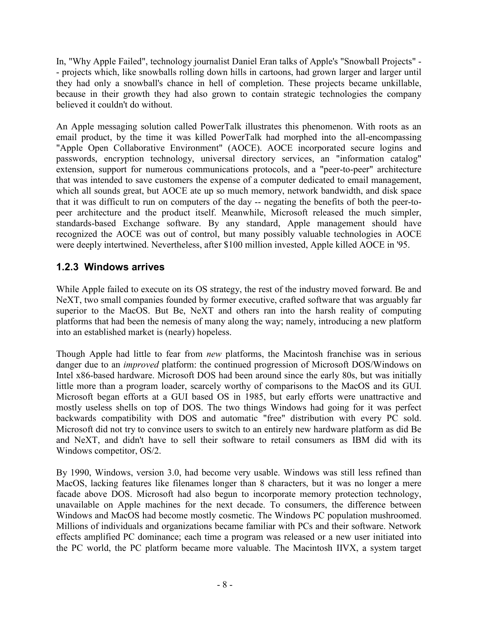In, "Why Apple Failed", technology journalist Daniel Eran talks of Apple's "Snowball Projects" - - projects which, like snowballs rolling down hills in cartoons, had grown larger and larger until they had only a snowball's chance in hell of completion. These projects became unkillable, because in their growth they had also grown to contain strategic technologies the company believed it couldn't do without.

An Apple messaging solution called PowerTalk illustrates this phenomenon. With roots as an email product, by the time it was killed PowerTalk had morphed into the all-encompassing "Apple Open Collaborative Environment" (AOCE). AOCE incorporated secure logins and passwords, encryption technology, universal directory services, an "information catalog" extension, support for numerous communications protocols, and a "peer-to-peer" architecture that was intended to save customers the expense of a computer dedicated to email management, which all sounds great, but AOCE ate up so much memory, network bandwidth, and disk space that it was difficult to run on computers of the day -- negating the benefits of both the peer-topeer architecture and the product itself. Meanwhile, Microsoft released the much simpler, standards-based Exchange software. By any standard, Apple management should have recognized the AOCE was out of control, but many possibly valuable technologies in AOCE were deeply intertwined. Nevertheless, after \$100 million invested, Apple killed AOCE in '95.

#### 1.2.3 Windows arrives

While Apple failed to execute on its OS strategy, the rest of the industry moved forward. Be and NeXT, two small companies founded by former executive, crafted software that was arguably far superior to the MacOS. But Be, NeXT and others ran into the harsh reality of computing platforms that had been the nemesis of many along the way; namely, introducing a new platform into an established market is (nearly) hopeless.

Though Apple had little to fear from new platforms, the Macintosh franchise was in serious danger due to an improved platform: the continued progression of Microsoft DOS/Windows on Intel x86-based hardware. Microsoft DOS had been around since the early 80s, but was initially little more than a program loader, scarcely worthy of comparisons to the MacOS and its GUI. Microsoft began efforts at a GUI based OS in 1985, but early efforts were unattractive and mostly useless shells on top of DOS. The two things Windows had going for it was perfect backwards compatibility with DOS and automatic "free" distribution with every PC sold. Microsoft did not try to convince users to switch to an entirely new hardware platform as did Be and NeXT, and didn't have to sell their software to retail consumers as IBM did with its Windows competitor, OS/2.

By 1990, Windows, version 3.0, had become very usable. Windows was still less refined than MacOS, lacking features like filenames longer than 8 characters, but it was no longer a mere facade above DOS. Microsoft had also begun to incorporate memory protection technology, unavailable on Apple machines for the next decade. To consumers, the difference between Windows and MacOS had become mostly cosmetic. The Windows PC population mushroomed. Millions of individuals and organizations became familiar with PCs and their software. Network effects amplified PC dominance; each time a program was released or a new user initiated into the PC world, the PC platform became more valuable. The Macintosh IIVX, a system target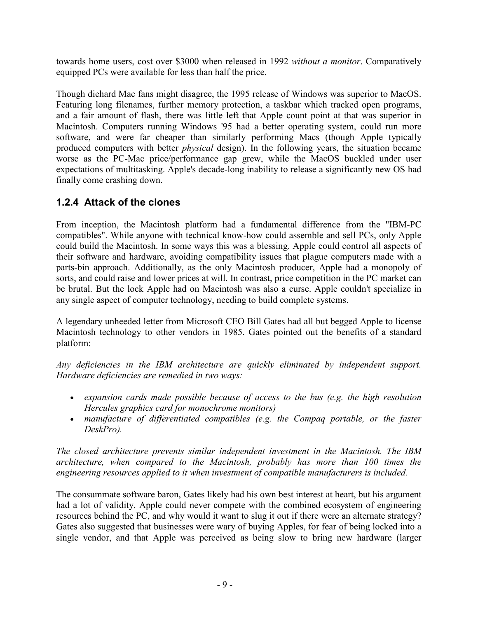towards home users, cost over \$3000 when released in 1992 *without a monitor*. Comparatively equipped PCs were available for less than half the price.

Though diehard Mac fans might disagree, the 1995 release of Windows was superior to MacOS. Featuring long filenames, further memory protection, a taskbar which tracked open programs, and a fair amount of flash, there was little left that Apple count point at that was superior in Macintosh. Computers running Windows '95 had a better operating system, could run more software, and were far cheaper than similarly performing Macs (though Apple typically produced computers with better physical design). In the following years, the situation became worse as the PC-Mac price/performance gap grew, while the MacOS buckled under user expectations of multitasking. Apple's decade-long inability to release a significantly new OS had finally come crashing down.

#### 1.2.4 Attack of the clones

From inception, the Macintosh platform had a fundamental difference from the "IBM-PC compatibles". While anyone with technical know-how could assemble and sell PCs, only Apple could build the Macintosh. In some ways this was a blessing. Apple could control all aspects of their software and hardware, avoiding compatibility issues that plague computers made with a parts-bin approach. Additionally, as the only Macintosh producer, Apple had a monopoly of sorts, and could raise and lower prices at will. In contrast, price competition in the PC market can be brutal. But the lock Apple had on Macintosh was also a curse. Apple couldn't specialize in any single aspect of computer technology, needing to build complete systems.

A legendary unheeded letter from Microsoft CEO Bill Gates had all but begged Apple to license Macintosh technology to other vendors in 1985. Gates pointed out the benefits of a standard platform:

Any deficiencies in the IBM architecture are quickly eliminated by independent support. Hardware deficiencies are remedied in two ways:

- expansion cards made possible because of access to the bus (e.g. the high resolution Hercules graphics card for monochrome monitors)
- manufacture of differentiated compatibles (e.g. the Compaq portable, or the faster DeskPro).

The closed architecture prevents similar independent investment in the Macintosh. The IBM architecture, when compared to the Macintosh, probably has more than 100 times the engineering resources applied to it when investment of compatible manufacturers is included.

The consummate software baron, Gates likely had his own best interest at heart, but his argument had a lot of validity. Apple could never compete with the combined ecosystem of engineering resources behind the PC, and why would it want to slug it out if there were an alternate strategy? Gates also suggested that businesses were wary of buying Apples, for fear of being locked into a single vendor, and that Apple was perceived as being slow to bring new hardware (larger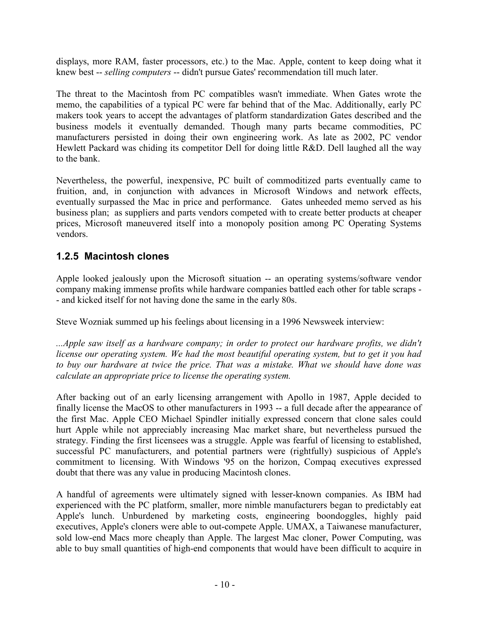displays, more RAM, faster processors, etc.) to the Mac. Apple, content to keep doing what it knew best -- selling computers -- didn't pursue Gates' recommendation till much later.

The threat to the Macintosh from PC compatibles wasn't immediate. When Gates wrote the memo, the capabilities of a typical PC were far behind that of the Mac. Additionally, early PC makers took years to accept the advantages of platform standardization Gates described and the business models it eventually demanded. Though many parts became commodities, PC manufacturers persisted in doing their own engineering work. As late as 2002, PC vendor Hewlett Packard was chiding its competitor Dell for doing little R&D. Dell laughed all the way to the bank.

Nevertheless, the powerful, inexpensive, PC built of commoditized parts eventually came to fruition, and, in conjunction with advances in Microsoft Windows and network effects, eventually surpassed the Mac in price and performance. Gates unheeded memo served as his business plan; as suppliers and parts vendors competed with to create better products at cheaper prices, Microsoft maneuvered itself into a monopoly position among PC Operating Systems vendors.

#### 1.2.5 Macintosh clones

Apple looked jealously upon the Microsoft situation -- an operating systems/software vendor company making immense profits while hardware companies battled each other for table scraps - - and kicked itself for not having done the same in the early 80s.

Steve Wozniak summed up his feelings about licensing in a 1996 Newsweek interview:

...Apple saw itself as a hardware company; in order to protect our hardware profits, we didn't license our operating system. We had the most beautiful operating system, but to get it you had to buy our hardware at twice the price. That was a mistake. What we should have done was calculate an appropriate price to license the operating system.

After backing out of an early licensing arrangement with Apollo in 1987, Apple decided to finally license the MacOS to other manufacturers in 1993 -- a full decade after the appearance of the first Mac. Apple CEO Michael Spindler initially expressed concern that clone sales could hurt Apple while not appreciably increasing Mac market share, but nevertheless pursued the strategy. Finding the first licensees was a struggle. Apple was fearful of licensing to established, successful PC manufacturers, and potential partners were (rightfully) suspicious of Apple's commitment to licensing. With Windows '95 on the horizon, Compaq executives expressed doubt that there was any value in producing Macintosh clones.

A handful of agreements were ultimately signed with lesser-known companies. As IBM had experienced with the PC platform, smaller, more nimble manufacturers began to predictably eat Apple's lunch. Unburdened by marketing costs, engineering boondoggles, highly paid executives, Apple's cloners were able to out-compete Apple. UMAX, a Taiwanese manufacturer, sold low-end Macs more cheaply than Apple. The largest Mac cloner, Power Computing, was able to buy small quantities of high-end components that would have been difficult to acquire in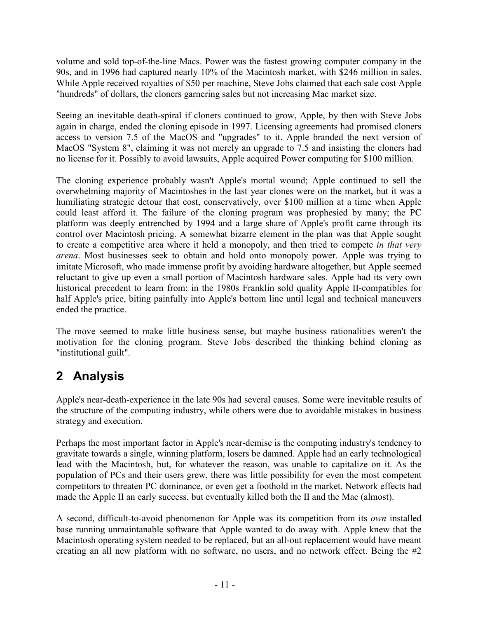volume and sold top-of-the-line Macs. Power was the fastest growing computer company in the 90s, and in 1996 had captured nearly 10% of the Macintosh market, with \$246 million in sales. While Apple received royalties of \$50 per machine, Steve Jobs claimed that each sale cost Apple "hundreds" of dollars, the cloners garnering sales but not increasing Mac market size.

Seeing an inevitable death-spiral if cloners continued to grow, Apple, by then with Steve Jobs again in charge, ended the cloning episode in 1997. Licensing agreements had promised cloners access to version 7.5 of the MacOS and "upgrades" to it. Apple branded the next version of MacOS "System 8", claiming it was not merely an upgrade to 7.5 and insisting the cloners had no license for it. Possibly to avoid lawsuits, Apple acquired Power computing for \$100 million.

The cloning experience probably wasn't Apple's mortal wound; Apple continued to sell the overwhelming majority of Macintoshes in the last year clones were on the market, but it was a humiliating strategic detour that cost, conservatively, over \$100 million at a time when Apple could least afford it. The failure of the cloning program was prophesied by many; the PC platform was deeply entrenched by 1994 and a large share of Apple's profit came through its control over Macintosh pricing. A somewhat bizarre element in the plan was that Apple sought to create a competitive area where it held a monopoly, and then tried to compete in that very arena. Most businesses seek to obtain and hold onto monopoly power. Apple was trying to imitate Microsoft, who made immense profit by avoiding hardware altogether, but Apple seemed reluctant to give up even a small portion of Macintosh hardware sales. Apple had its very own historical precedent to learn from; in the 1980s Franklin sold quality Apple II-compatibles for half Apple's price, biting painfully into Apple's bottom line until legal and technical maneuvers ended the practice.

The move seemed to make little business sense, but maybe business rationalities weren't the motivation for the cloning program. Steve Jobs described the thinking behind cloning as "institutional guilt".

## 2 Analysis

Apple's near-death-experience in the late 90s had several causes. Some were inevitable results of the structure of the computing industry, while others were due to avoidable mistakes in business strategy and execution.

Perhaps the most important factor in Apple's near-demise is the computing industry's tendency to gravitate towards a single, winning platform, losers be damned. Apple had an early technological lead with the Macintosh, but, for whatever the reason, was unable to capitalize on it. As the population of PCs and their users grew, there was little possibility for even the most competent competitors to threaten PC dominance, or even get a foothold in the market. Network effects had made the Apple II an early success, but eventually killed both the II and the Mac (almost).

A second, difficult-to-avoid phenomenon for Apple was its competition from its own installed base running unmaintanable software that Apple wanted to do away with. Apple knew that the Macintosh operating system needed to be replaced, but an all-out replacement would have meant creating an all new platform with no software, no users, and no network effect. Being the #2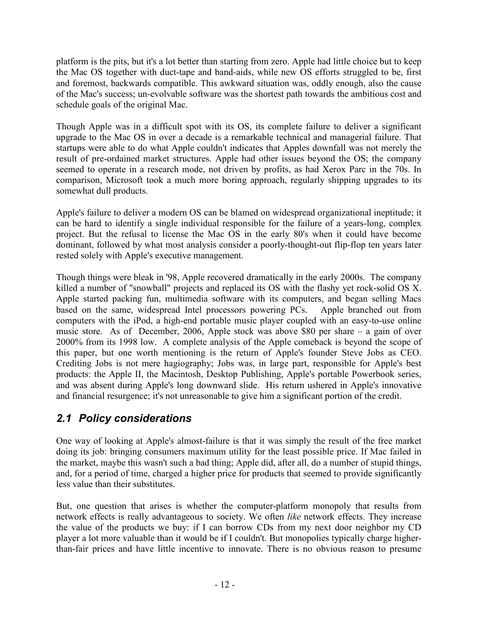platform is the pits, but it's a lot better than starting from zero. Apple had little choice but to keep the Mac OS together with duct-tape and band-aids, while new OS efforts struggled to be, first and foremost, backwards compatible. This awkward situation was, oddly enough, also the cause of the Mac's success; un-evolvable software was the shortest path towards the ambitious cost and schedule goals of the original Mac.

Though Apple was in a difficult spot with its OS, its complete failure to deliver a significant upgrade to the Mac OS in over a decade is a remarkable technical and managerial failure. That startups were able to do what Apple couldn't indicates that Apples downfall was not merely the result of pre-ordained market structures. Apple had other issues beyond the OS; the company seemed to operate in a research mode, not driven by profits, as had Xerox Parc in the 70s. In comparison, Microsoft took a much more boring approach, regularly shipping upgrades to its somewhat dull products.

Apple's failure to deliver a modern OS can be blamed on widespread organizational ineptitude; it can be hard to identify a single individual responsible for the failure of a years-long, complex project. But the refusal to license the Mac OS in the early 80's when it could have become dominant, followed by what most analysis consider a poorly-thought-out flip-flop ten years later rested solely with Apple's executive management.

Though things were bleak in '98, Apple recovered dramatically in the early 2000s. The company killed a number of "snowball" projects and replaced its OS with the flashy yet rock-solid OS X. Apple started packing fun, multimedia software with its computers, and began selling Macs based on the same, widespread Intel processors powering PCs. Apple branched out from computers with the iPod, a high-end portable music player coupled with an easy-to-use online music store. As of December, 2006, Apple stock was above \$80 per share – a gain of over 2000% from its 1998 low. A complete analysis of the Apple comeback is beyond the scope of this paper, but one worth mentioning is the return of Apple's founder Steve Jobs as CEO. Crediting Jobs is not mere hagiography; Jobs was, in large part, responsible for Apple's best products: the Apple II, the Macintosh, Desktop Publishing, Apple's portable Powerbook series, and was absent during Apple's long downward slide. His return ushered in Apple's innovative and financial resurgence; it's not unreasonable to give him a significant portion of the credit.

#### 2.1 Policy considerations

One way of looking at Apple's almost-failure is that it was simply the result of the free market doing its job: bringing consumers maximum utility for the least possible price. If Mac failed in the market, maybe this wasn't such a bad thing; Apple did, after all, do a number of stupid things, and, for a period of time, charged a higher price for products that seemed to provide significantly less value than their substitutes.

But, one question that arises is whether the computer-platform monopoly that results from network effects is really advantageous to society. We often like network effects. They increase the value of the products we buy: if I can borrow CDs from my next door neighbor my CD player a lot more valuable than it would be if I couldn't. But monopolies typically charge higherthan-fair prices and have little incentive to innovate. There is no obvious reason to presume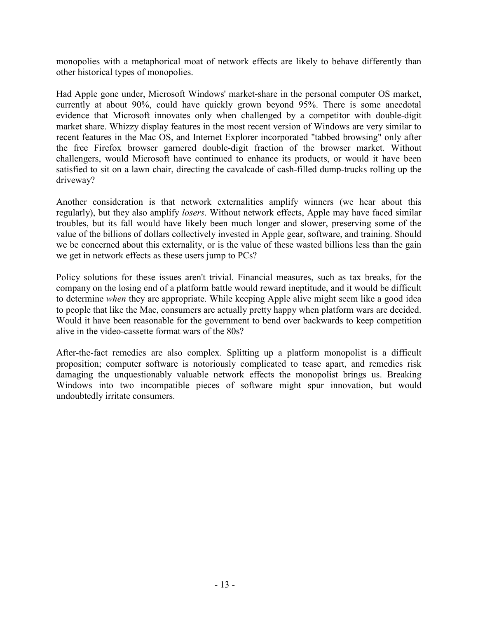monopolies with a metaphorical moat of network effects are likely to behave differently than other historical types of monopolies.

Had Apple gone under, Microsoft Windows' market-share in the personal computer OS market, currently at about 90%, could have quickly grown beyond 95%. There is some anecdotal evidence that Microsoft innovates only when challenged by a competitor with double-digit market share. Whizzy display features in the most recent version of Windows are very similar to recent features in the Mac OS, and Internet Explorer incorporated "tabbed browsing" only after the free Firefox browser garnered double-digit fraction of the browser market. Without challengers, would Microsoft have continued to enhance its products, or would it have been satisfied to sit on a lawn chair, directing the cavalcade of cash-filled dump-trucks rolling up the driveway?

Another consideration is that network externalities amplify winners (we hear about this regularly), but they also amplify losers. Without network effects, Apple may have faced similar troubles, but its fall would have likely been much longer and slower, preserving some of the value of the billions of dollars collectively invested in Apple gear, software, and training. Should we be concerned about this externality, or is the value of these wasted billions less than the gain we get in network effects as these users jump to PCs?

Policy solutions for these issues aren't trivial. Financial measures, such as tax breaks, for the company on the losing end of a platform battle would reward ineptitude, and it would be difficult to determine when they are appropriate. While keeping Apple alive might seem like a good idea to people that like the Mac, consumers are actually pretty happy when platform wars are decided. Would it have been reasonable for the government to bend over backwards to keep competition alive in the video-cassette format wars of the 80s?

After-the-fact remedies are also complex. Splitting up a platform monopolist is a difficult proposition; computer software is notoriously complicated to tease apart, and remedies risk damaging the unquestionably valuable network effects the monopolist brings us. Breaking Windows into two incompatible pieces of software might spur innovation, but would undoubtedly irritate consumers.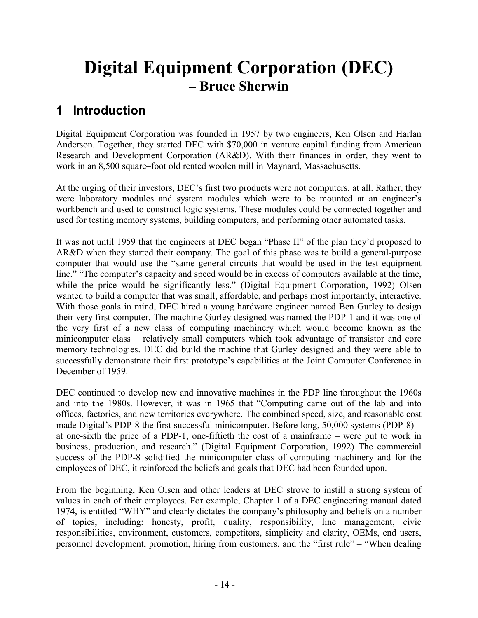## Digital Equipment Corporation (DEC) – Bruce Sherwin

## 1 Introduction

Digital Equipment Corporation was founded in 1957 by two engineers, Ken Olsen and Harlan Anderson. Together, they started DEC with \$70,000 in venture capital funding from American Research and Development Corporation (AR&D). With their finances in order, they went to work in an 8,500 square–foot old rented woolen mill in Maynard, Massachusetts.

At the urging of their investors, DEC's first two products were not computers, at all. Rather, they were laboratory modules and system modules which were to be mounted at an engineer's workbench and used to construct logic systems. These modules could be connected together and used for testing memory systems, building computers, and performing other automated tasks.

It was not until 1959 that the engineers at DEC began "Phase II" of the plan they'd proposed to AR&D when they started their company. The goal of this phase was to build a general-purpose computer that would use the "same general circuits that would be used in the test equipment line." "The computer's capacity and speed would be in excess of computers available at the time, while the price would be significantly less." (Digital Equipment Corporation, 1992) Olsen wanted to build a computer that was small, affordable, and perhaps most importantly, interactive. With those goals in mind, DEC hired a young hardware engineer named Ben Gurley to design their very first computer. The machine Gurley designed was named the PDP-1 and it was one of the very first of a new class of computing machinery which would become known as the minicomputer class – relatively small computers which took advantage of transistor and core memory technologies. DEC did build the machine that Gurley designed and they were able to successfully demonstrate their first prototype's capabilities at the Joint Computer Conference in December of 1959.

DEC continued to develop new and innovative machines in the PDP line throughout the 1960s and into the 1980s. However, it was in 1965 that "Computing came out of the lab and into offices, factories, and new territories everywhere. The combined speed, size, and reasonable cost made Digital's PDP-8 the first successful minicomputer. Before long, 50,000 systems (PDP-8) – at one-sixth the price of a PDP-1, one-fiftieth the cost of a mainframe – were put to work in business, production, and research." (Digital Equipment Corporation, 1992) The commercial success of the PDP-8 solidified the minicomputer class of computing machinery and for the employees of DEC, it reinforced the beliefs and goals that DEC had been founded upon.

From the beginning, Ken Olsen and other leaders at DEC strove to instill a strong system of values in each of their employees. For example, Chapter 1 of a DEC engineering manual dated 1974, is entitled "WHY" and clearly dictates the company's philosophy and beliefs on a number of topics, including: honesty, profit, quality, responsibility, line management, civic responsibilities, environment, customers, competitors, simplicity and clarity, OEMs, end users, personnel development, promotion, hiring from customers, and the "first rule" – "When dealing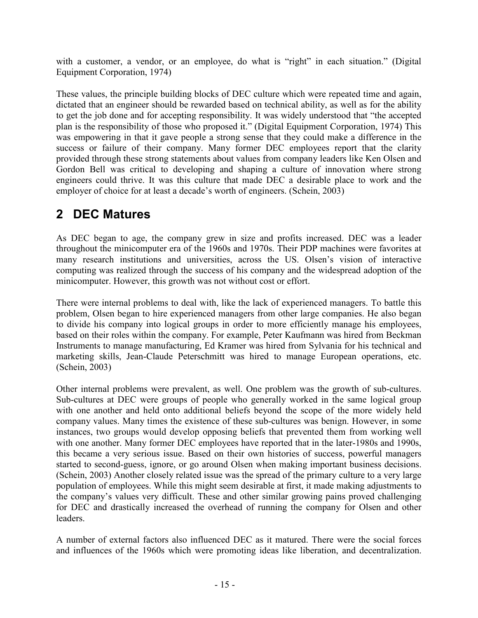with a customer, a vendor, or an employee, do what is "right" in each situation." (Digital Equipment Corporation, 1974)

These values, the principle building blocks of DEC culture which were repeated time and again, dictated that an engineer should be rewarded based on technical ability, as well as for the ability to get the job done and for accepting responsibility. It was widely understood that "the accepted plan is the responsibility of those who proposed it." (Digital Equipment Corporation, 1974) This was empowering in that it gave people a strong sense that they could make a difference in the success or failure of their company. Many former DEC employees report that the clarity provided through these strong statements about values from company leaders like Ken Olsen and Gordon Bell was critical to developing and shaping a culture of innovation where strong engineers could thrive. It was this culture that made DEC a desirable place to work and the employer of choice for at least a decade's worth of engineers. (Schein, 2003)

### 2 DEC Matures

As DEC began to age, the company grew in size and profits increased. DEC was a leader throughout the minicomputer era of the 1960s and 1970s. Their PDP machines were favorites at many research institutions and universities, across the US. Olsen's vision of interactive computing was realized through the success of his company and the widespread adoption of the minicomputer. However, this growth was not without cost or effort.

There were internal problems to deal with, like the lack of experienced managers. To battle this problem, Olsen began to hire experienced managers from other large companies. He also began to divide his company into logical groups in order to more efficiently manage his employees, based on their roles within the company. For example, Peter Kaufmann was hired from Beckman Instruments to manage manufacturing, Ed Kramer was hired from Sylvania for his technical and marketing skills, Jean-Claude Peterschmitt was hired to manage European operations, etc. (Schein, 2003)

Other internal problems were prevalent, as well. One problem was the growth of sub-cultures. Sub-cultures at DEC were groups of people who generally worked in the same logical group with one another and held onto additional beliefs beyond the scope of the more widely held company values. Many times the existence of these sub-cultures was benign. However, in some instances, two groups would develop opposing beliefs that prevented them from working well with one another. Many former DEC employees have reported that in the later-1980s and 1990s, this became a very serious issue. Based on their own histories of success, powerful managers started to second-guess, ignore, or go around Olsen when making important business decisions. (Schein, 2003) Another closely related issue was the spread of the primary culture to a very large population of employees. While this might seem desirable at first, it made making adjustments to the company's values very difficult. These and other similar growing pains proved challenging for DEC and drastically increased the overhead of running the company for Olsen and other leaders.

A number of external factors also influenced DEC as it matured. There were the social forces and influences of the 1960s which were promoting ideas like liberation, and decentralization.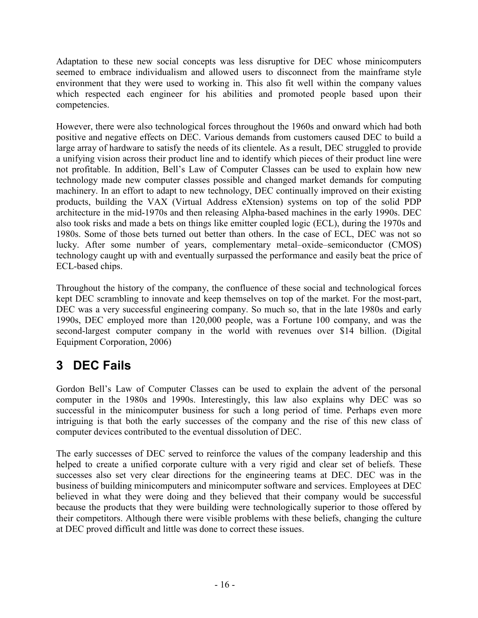Adaptation to these new social concepts was less disruptive for DEC whose minicomputers seemed to embrace individualism and allowed users to disconnect from the mainframe style environment that they were used to working in. This also fit well within the company values which respected each engineer for his abilities and promoted people based upon their competencies.

However, there were also technological forces throughout the 1960s and onward which had both positive and negative effects on DEC. Various demands from customers caused DEC to build a large array of hardware to satisfy the needs of its clientele. As a result, DEC struggled to provide a unifying vision across their product line and to identify which pieces of their product line were not profitable. In addition, Bell's Law of Computer Classes can be used to explain how new technology made new computer classes possible and changed market demands for computing machinery. In an effort to adapt to new technology, DEC continually improved on their existing products, building the VAX (Virtual Address eXtension) systems on top of the solid PDP architecture in the mid-1970s and then releasing Alpha-based machines in the early 1990s. DEC also took risks and made a bets on things like emitter coupled logic (ECL), during the 1970s and 1980s. Some of those bets turned out better than others. In the case of ECL, DEC was not so lucky. After some number of years, complementary metal–oxide–semiconductor (CMOS) technology caught up with and eventually surpassed the performance and easily beat the price of ECL-based chips.

Throughout the history of the company, the confluence of these social and technological forces kept DEC scrambling to innovate and keep themselves on top of the market. For the most-part, DEC was a very successful engineering company. So much so, that in the late 1980s and early 1990s, DEC employed more than 120,000 people, was a Fortune 100 company, and was the second-largest computer company in the world with revenues over \$14 billion. (Digital Equipment Corporation, 2006)

## 3 DEC Fails

Gordon Bell's Law of Computer Classes can be used to explain the advent of the personal computer in the 1980s and 1990s. Interestingly, this law also explains why DEC was so successful in the minicomputer business for such a long period of time. Perhaps even more intriguing is that both the early successes of the company and the rise of this new class of computer devices contributed to the eventual dissolution of DEC.

The early successes of DEC served to reinforce the values of the company leadership and this helped to create a unified corporate culture with a very rigid and clear set of beliefs. These successes also set very clear directions for the engineering teams at DEC. DEC was in the business of building minicomputers and minicomputer software and services. Employees at DEC believed in what they were doing and they believed that their company would be successful because the products that they were building were technologically superior to those offered by their competitors. Although there were visible problems with these beliefs, changing the culture at DEC proved difficult and little was done to correct these issues.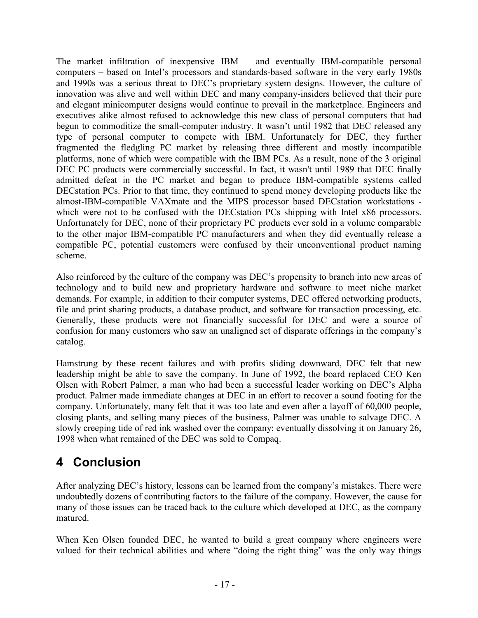The market infiltration of inexpensive IBM – and eventually IBM-compatible personal computers – based on Intel's processors and standards-based software in the very early 1980s and 1990s was a serious threat to DEC's proprietary system designs. However, the culture of innovation was alive and well within DEC and many company-insiders believed that their pure and elegant minicomputer designs would continue to prevail in the marketplace. Engineers and executives alike almost refused to acknowledge this new class of personal computers that had begun to commoditize the small-computer industry. It wasn't until 1982 that DEC released any type of personal computer to compete with IBM. Unfortunately for DEC, they further fragmented the fledgling PC market by releasing three different and mostly incompatible platforms, none of which were compatible with the IBM PCs. As a result, none of the 3 original DEC PC products were commercially successful. In fact, it wasn't until 1989 that DEC finally admitted defeat in the PC market and began to produce IBM-compatible systems called DECstation PCs. Prior to that time, they continued to spend money developing products like the almost-IBM-compatible VAXmate and the MIPS processor based DECstation workstations which were not to be confused with the DECstation PCs shipping with Intel x86 processors. Unfortunately for DEC, none of their proprietary PC products ever sold in a volume comparable to the other major IBM-compatible PC manufacturers and when they did eventually release a compatible PC, potential customers were confused by their unconventional product naming scheme.

Also reinforced by the culture of the company was DEC's propensity to branch into new areas of technology and to build new and proprietary hardware and software to meet niche market demands. For example, in addition to their computer systems, DEC offered networking products, file and print sharing products, a database product, and software for transaction processing, etc. Generally, these products were not financially successful for DEC and were a source of confusion for many customers who saw an unaligned set of disparate offerings in the company's catalog.

Hamstrung by these recent failures and with profits sliding downward, DEC felt that new leadership might be able to save the company. In June of 1992, the board replaced CEO Ken Olsen with Robert Palmer, a man who had been a successful leader working on DEC's Alpha product. Palmer made immediate changes at DEC in an effort to recover a sound footing for the company. Unfortunately, many felt that it was too late and even after a layoff of 60,000 people, closing plants, and selling many pieces of the business, Palmer was unable to salvage DEC. A slowly creeping tide of red ink washed over the company; eventually dissolving it on January 26, 1998 when what remained of the DEC was sold to Compaq.

## 4 Conclusion

After analyzing DEC's history, lessons can be learned from the company's mistakes. There were undoubtedly dozens of contributing factors to the failure of the company. However, the cause for many of those issues can be traced back to the culture which developed at DEC, as the company matured.

When Ken Olsen founded DEC, he wanted to build a great company where engineers were valued for their technical abilities and where "doing the right thing" was the only way things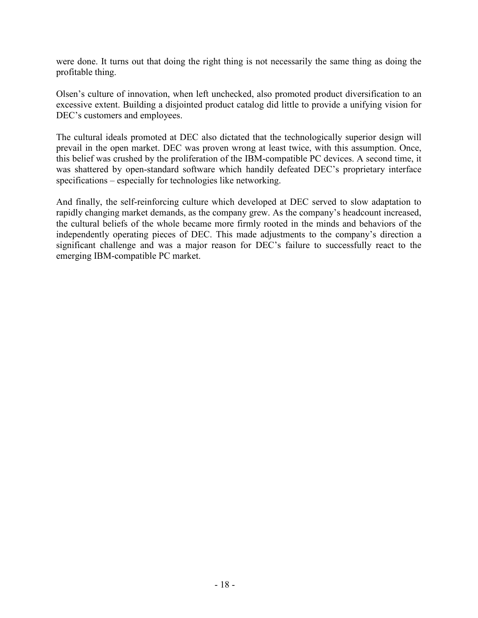were done. It turns out that doing the right thing is not necessarily the same thing as doing the profitable thing.

Olsen's culture of innovation, when left unchecked, also promoted product diversification to an excessive extent. Building a disjointed product catalog did little to provide a unifying vision for DEC's customers and employees.

The cultural ideals promoted at DEC also dictated that the technologically superior design will prevail in the open market. DEC was proven wrong at least twice, with this assumption. Once, this belief was crushed by the proliferation of the IBM-compatible PC devices. A second time, it was shattered by open-standard software which handily defeated DEC's proprietary interface specifications – especially for technologies like networking.

And finally, the self-reinforcing culture which developed at DEC served to slow adaptation to rapidly changing market demands, as the company grew. As the company's headcount increased, the cultural beliefs of the whole became more firmly rooted in the minds and behaviors of the independently operating pieces of DEC. This made adjustments to the company's direction a significant challenge and was a major reason for DEC's failure to successfully react to the emerging IBM-compatible PC market.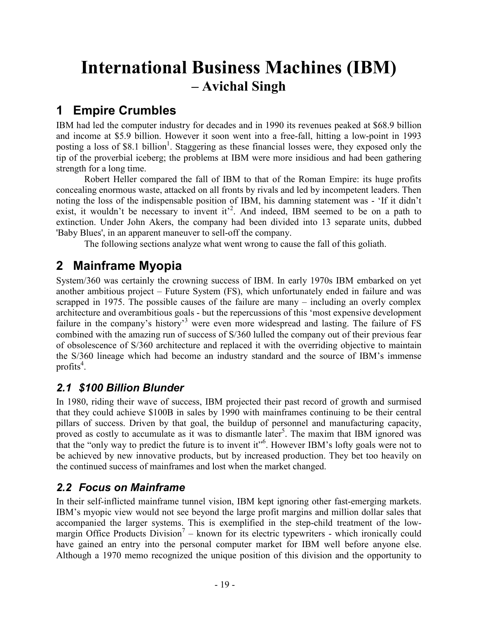## International Business Machines (IBM) – Avichal Singh

## 1 Empire Crumbles

IBM had led the computer industry for decades and in 1990 its revenues peaked at \$68.9 billion and income at \$5.9 billion. However it soon went into a free-fall, hitting a low-point in 1993 posting a loss of \$8.1 billion<sup>1</sup>. Staggering as these financial losses were, they exposed only the tip of the proverbial iceberg; the problems at IBM were more insidious and had been gathering strength for a long time.

Robert Heller compared the fall of IBM to that of the Roman Empire: its huge profits concealing enormous waste, attacked on all fronts by rivals and led by incompetent leaders. Then noting the loss of the indispensable position of IBM, his damning statement was - 'If it didn't exist, it wouldn't be necessary to invent it<sup>22</sup>. And indeed, IBM seemed to be on a path to extinction. Under John Akers, the company had been divided into 13 separate units, dubbed 'Baby Blues', in an apparent maneuver to sell-off the company.

The following sections analyze what went wrong to cause the fall of this goliath.

## 2 Mainframe Myopia

System/360 was certainly the crowning success of IBM. In early 1970s IBM embarked on yet another ambitious project – Future System (FS), which unfortunately ended in failure and was scrapped in 1975. The possible causes of the failure are many – including an overly complex architecture and overambitious goals - but the repercussions of this 'most expensive development failure in the company's history'<sup>3</sup> were even more widespread and lasting. The failure of FS combined with the amazing run of success of S/360 lulled the company out of their previous fear of obsolescence of S/360 architecture and replaced it with the overriding objective to maintain the S/360 lineage which had become an industry standard and the source of IBM's immense profits $4$ .

#### 2.1 \$100 Billion Blunder

In 1980, riding their wave of success, IBM projected their past record of growth and surmised that they could achieve \$100B in sales by 1990 with mainframes continuing to be their central pillars of success. Driven by that goal, the buildup of personnel and manufacturing capacity, proved as costly to accumulate as it was to dismantle later<sup>5</sup>. The maxim that IBM ignored was that the "only way to predict the future is to invent it"<sup>6</sup>. However IBM's lofty goals were not to be achieved by new innovative products, but by increased production. They bet too heavily on the continued success of mainframes and lost when the market changed.

#### 2.2 Focus on Mainframe

In their self-inflicted mainframe tunnel vision, IBM kept ignoring other fast-emerging markets. IBM's myopic view would not see beyond the large profit margins and million dollar sales that accompanied the larger systems. This is exemplified in the step-child treatment of the lowmargin Office Products Division<sup>7</sup> – known for its electric typewriters - which ironically could have gained an entry into the personal computer market for IBM well before anyone else. Although a 1970 memo recognized the unique position of this division and the opportunity to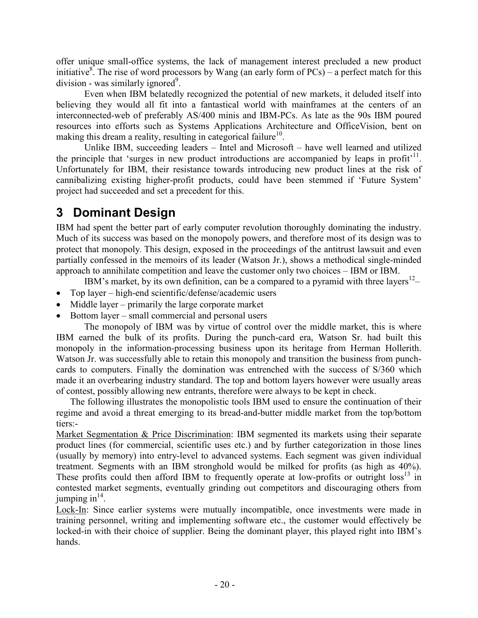offer unique small-office systems, the lack of management interest precluded a new product initiative<sup>8</sup>. The rise of word processors by Wang (an early form of PCs) – a perfect match for this division - was similarly ignored<sup>9</sup>.

Even when IBM belatedly recognized the potential of new markets, it deluded itself into believing they would all fit into a fantastical world with mainframes at the centers of an interconnected-web of preferably AS/400 minis and IBM-PCs. As late as the 90s IBM poured resources into efforts such as Systems Applications Architecture and OfficeVision, bent on making this dream a reality, resulting in categorical failure<sup>10</sup>.

Unlike IBM, succeeding leaders – Intel and Microsoft – have well learned and utilized the principle that 'surges in new product introductions are accompanied by leaps in profit<sup> $11$ </sup>. Unfortunately for IBM, their resistance towards introducing new product lines at the risk of cannibalizing existing higher-profit products, could have been stemmed if 'Future System' project had succeeded and set a precedent for this.

## 3 Dominant Design

IBM had spent the better part of early computer revolution thoroughly dominating the industry. Much of its success was based on the monopoly powers, and therefore most of its design was to protect that monopoly. This design, exposed in the proceedings of the antitrust lawsuit and even partially confessed in the memoirs of its leader (Watson Jr.), shows a methodical single-minded approach to annihilate competition and leave the customer only two choices – IBM or IBM.

IBM's market, by its own definition, can be a compared to a pyramid with three layers $12$ –

- Top layer high-end scientific/defense/academic users
- Middle layer primarily the large corporate market
- Bottom layer small commercial and personal users

The monopoly of IBM was by virtue of control over the middle market, this is where IBM earned the bulk of its profits. During the punch-card era, Watson Sr. had built this monopoly in the information-processing business upon its heritage from Herman Hollerith. Watson Jr. was successfully able to retain this monopoly and transition the business from punchcards to computers. Finally the domination was entrenched with the success of S/360 which made it an overbearing industry standard. The top and bottom layers however were usually areas of contest, possibly allowing new entrants, therefore were always to be kept in check.

The following illustrates the monopolistic tools IBM used to ensure the continuation of their regime and avoid a threat emerging to its bread-and-butter middle market from the top/bottom tiers:-

Market Segmentation & Price Discrimination: IBM segmented its markets using their separate product lines (for commercial, scientific uses etc.) and by further categorization in those lines (usually by memory) into entry-level to advanced systems. Each segment was given individual treatment. Segments with an IBM stronghold would be milked for profits (as high as 40%). These profits could then afford IBM to frequently operate at low-profits or outright  $\cos^{13}$  in contested market segments, eventually grinding out competitors and discouraging others from jumping in $14$ .

Lock-In: Since earlier systems were mutually incompatible, once investments were made in training personnel, writing and implementing software etc., the customer would effectively be locked-in with their choice of supplier. Being the dominant player, this played right into IBM's hands.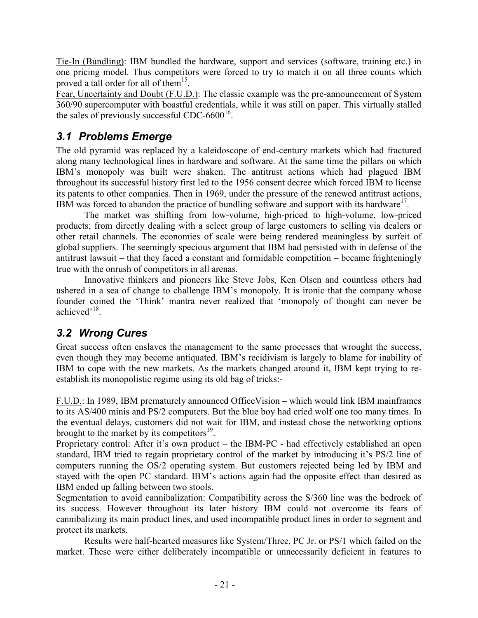Tie-In (Bundling): IBM bundled the hardware, support and services (software, training etc.) in one pricing model. Thus competitors were forced to try to match it on all three counts which proved a tall order for all of them<sup>15</sup>.

Fear, Uncertainty and Doubt (F.U.D.): The classic example was the pre-announcement of System 360/90 supercomputer with boastful credentials, while it was still on paper. This virtually stalled the sales of previously successful CDC-6600 $<sup>16</sup>$ .</sup>

#### 3.1 Problems Emerge

The old pyramid was replaced by a kaleidoscope of end-century markets which had fractured along many technological lines in hardware and software. At the same time the pillars on which IBM's monopoly was built were shaken. The antitrust actions which had plagued IBM throughout its successful history first led to the 1956 consent decree which forced IBM to license its patents to other companies. Then in 1969, under the pressure of the renewed antitrust actions, IBM was forced to abandon the practice of bundling software and support with its hardware<sup>17</sup>.

 The market was shifting from low-volume, high-priced to high-volume, low-priced products; from directly dealing with a select group of large customers to selling via dealers or other retail channels. The economies of scale were being rendered meaningless by surfeit of global suppliers. The seemingly specious argument that IBM had persisted with in defense of the antitrust lawsuit – that they faced a constant and formidable competition – became frighteningly true with the onrush of competitors in all arenas.

Innovative thinkers and pioneers like Steve Jobs, Ken Olsen and countless others had ushered in a sea of change to challenge IBM's monopoly. It is ironic that the company whose founder coined the 'Think' mantra never realized that 'monopoly of thought can never be achieved'<sup>18</sup>.

#### 3.2 Wrong Cures

Great success often enslaves the management to the same processes that wrought the success, even though they may become antiquated. IBM's recidivism is largely to blame for inability of IBM to cope with the new markets. As the markets changed around it, IBM kept trying to reestablish its monopolistic regime using its old bag of tricks:-

F.U.D.: In 1989, IBM prematurely announced OfficeVision – which would link IBM mainframes to its AS/400 minis and PS/2 computers. But the blue boy had cried wolf one too many times. In the eventual delays, customers did not wait for IBM, and instead chose the networking options brought to the market by its competitors $^{19}$ .

Proprietary control: After it's own product – the IBM-PC - had effectively established an open standard, IBM tried to regain proprietary control of the market by introducing it's PS/2 line of computers running the OS/2 operating system. But customers rejected being led by IBM and stayed with the open PC standard. IBM's actions again had the opposite effect than desired as IBM ended up falling between two stools.

Segmentation to avoid cannibalization: Compatibility across the S/360 line was the bedrock of its success. However throughout its later history IBM could not overcome its fears of cannibalizing its main product lines, and used incompatible product lines in order to segment and protect its markets.

Results were half-hearted measures like System/Three, PC Jr. or PS/1 which failed on the market. These were either deliberately incompatible or unnecessarily deficient in features to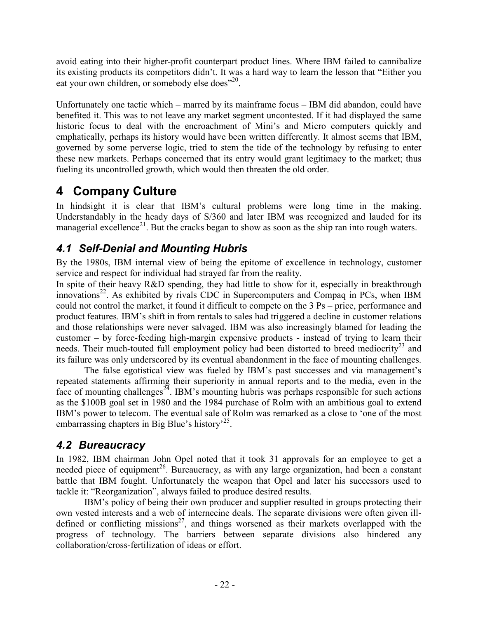avoid eating into their higher-profit counterpart product lines. Where IBM failed to cannibalize its existing products its competitors didn't. It was a hard way to learn the lesson that "Either you eat your own children, or somebody else does"<sup>20</sup>.

Unfortunately one tactic which – marred by its mainframe focus – IBM did abandon, could have benefited it. This was to not leave any market segment uncontested. If it had displayed the same historic focus to deal with the encroachment of Mini's and Micro computers quickly and emphatically, perhaps its history would have been written differently. It almost seems that IBM, governed by some perverse logic, tried to stem the tide of the technology by refusing to enter these new markets. Perhaps concerned that its entry would grant legitimacy to the market; thus fueling its uncontrolled growth, which would then threaten the old order.

## 4 Company Culture

In hindsight it is clear that IBM's cultural problems were long time in the making. Understandably in the heady days of S/360 and later IBM was recognized and lauded for its managerial excellence<sup>21</sup>. But the cracks began to show as soon as the ship ran into rough waters.

#### 4.1 Self-Denial and Mounting Hubris

By the 1980s, IBM internal view of being the epitome of excellence in technology, customer service and respect for individual had strayed far from the reality.

In spite of their heavy R&D spending, they had little to show for it, especially in breakthrough innovations<sup>22</sup>. As exhibited by rivals CDC in Supercomputers and Compaq in PCs, when IBM could not control the market, it found it difficult to compete on the 3 Ps – price, performance and product features. IBM's shift in from rentals to sales had triggered a decline in customer relations and those relationships were never salvaged. IBM was also increasingly blamed for leading the customer – by force-feeding high-margin expensive products - instead of trying to learn their needs. Their much-touted full employment policy had been distorted to breed mediocrity<sup>23</sup> and its failure was only underscored by its eventual abandonment in the face of mounting challenges.

 The false egotistical view was fueled by IBM's past successes and via management's repeated statements affirming their superiority in annual reports and to the media, even in the face of mounting challenges<sup>24</sup>. IBM's mounting hubris was perhaps responsible for such actions as the \$100B goal set in 1980 and the 1984 purchase of Rolm with an ambitious goal to extend IBM's power to telecom. The eventual sale of Rolm was remarked as a close to 'one of the most embarrassing chapters in Big Blue's history<sup>25</sup>.

#### 4.2 Bureaucracy

In 1982, IBM chairman John Opel noted that it took 31 approvals for an employee to get a needed piece of equipment<sup>26</sup>. Bureaucracy, as with any large organization, had been a constant battle that IBM fought. Unfortunately the weapon that Opel and later his successors used to tackle it: "Reorganization", always failed to produce desired results.

IBM's policy of being their own producer and supplier resulted in groups protecting their own vested interests and a web of internecine deals. The separate divisions were often given illdefined or conflicting missions<sup>27</sup>, and things worsened as their markets overlapped with the progress of technology. The barriers between separate divisions also hindered any collaboration/cross-fertilization of ideas or effort.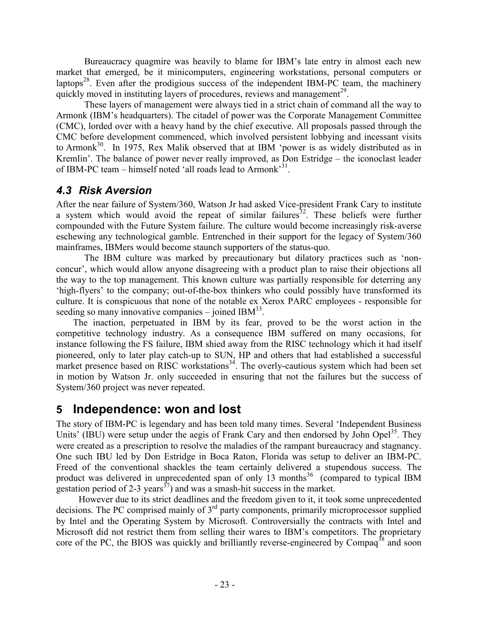Bureaucracy quagmire was heavily to blame for IBM's late entry in almost each new market that emerged, be it minicomputers, engineering workstations, personal computers or laptops<sup>28</sup>. Even after the prodigious success of the independent IBM-PC team, the machinery quickly moved in instituting layers of procedures, reviews and management<sup>29</sup>.

 These layers of management were always tied in a strict chain of command all the way to Armonk (IBM's headquarters). The citadel of power was the Corporate Management Committee (CMC), lorded over with a heavy hand by the chief executive. All proposals passed through the CMC before development commenced, which involved persistent lobbying and incessant visits to Armonk<sup>30</sup>. In 1975, Rex Malik observed that at IBM 'power is as widely distributed as in Kremlin'. The balance of power never really improved, as Don Estridge – the iconoclast leader of IBM-PC team – himself noted 'all roads lead to Armonk'<sup>31</sup>.

#### 4.3 Risk Aversion

After the near failure of System/360, Watson Jr had asked Vice-president Frank Cary to institute a system which would avoid the repeat of similar failures  $32$ . These beliefs were further compounded with the Future System failure. The culture would become increasingly risk-averse eschewing any technological gamble. Entrenched in their support for the legacy of System/360 mainframes, IBMers would become staunch supporters of the status-quo.

The IBM culture was marked by precautionary but dilatory practices such as 'nonconcur', which would allow anyone disagreeing with a product plan to raise their objections all the way to the top management. This known culture was partially responsible for deterring any 'high-flyers' to the company; out-of-the-box thinkers who could possibly have transformed its culture. It is conspicuous that none of the notable ex Xerox PARC employees - responsible for seeding so many innovative companies  $-$  joined IBM $^{33}$ .

The inaction, perpetuated in IBM by its fear, proved to be the worst action in the competitive technology industry. As a consequence IBM suffered on many occasions, for instance following the FS failure, IBM shied away from the RISC technology which it had itself pioneered, only to later play catch-up to SUN, HP and others that had established a successful market presence based on RISC workstations<sup>34</sup>. The overly-cautious system which had been set in motion by Watson Jr. only succeeded in ensuring that not the failures but the success of System/360 project was never repeated.

#### 5 Independence: won and lost

The story of IBM-PC is legendary and has been told many times. Several 'Independent Business Units' (IBU) were setup under the aegis of Frank Cary and then endorsed by John Opel<sup>35</sup>. They were created as a prescription to resolve the maladies of the rampant bureaucracy and stagnancy. One such IBU led by Don Estridge in Boca Raton, Florida was setup to deliver an IBM-PC. Freed of the conventional shackles the team certainly delivered a stupendous success. The product was delivered in unprecedented span of only 13 months<sup>36</sup> (compared to typical IBM gestation period of 2-3 years<sup>37</sup>) and was a smash-hit success in the market.

However due to its strict deadlines and the freedom given to it, it took some unprecedented decisions. The PC comprised mainly of 3<sup>rd</sup> party components, primarily microprocessor supplied by Intel and the Operating System by Microsoft. Controversially the contracts with Intel and Microsoft did not restrict them from selling their wares to IBM's competitors. The proprietary core of the PC, the BIOS was quickly and brilliantly reverse-engineered by Compaq<sup>38</sup> and soon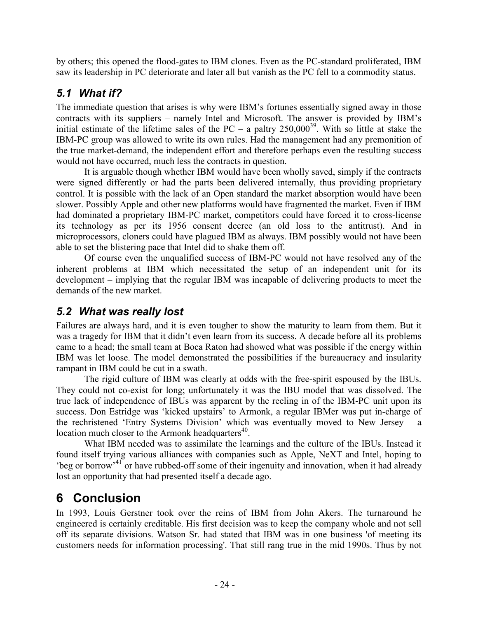by others; this opened the flood-gates to IBM clones. Even as the PC-standard proliferated, IBM saw its leadership in PC deteriorate and later all but vanish as the PC fell to a commodity status.

#### 5.1 What if?

The immediate question that arises is why were IBM's fortunes essentially signed away in those contracts with its suppliers – namely Intel and Microsoft. The answer is provided by IBM's initial estimate of the lifetime sales of the PC – a paltry  $250,000^{39}$ . With so little at stake the IBM-PC group was allowed to write its own rules. Had the management had any premonition of the true market-demand, the independent effort and therefore perhaps even the resulting success would not have occurred, much less the contracts in question.

It is arguable though whether IBM would have been wholly saved, simply if the contracts were signed differently or had the parts been delivered internally, thus providing proprietary control. It is possible with the lack of an Open standard the market absorption would have been slower. Possibly Apple and other new platforms would have fragmented the market. Even if IBM had dominated a proprietary IBM-PC market, competitors could have forced it to cross-license its technology as per its 1956 consent decree (an old loss to the antitrust). And in microprocessors, cloners could have plagued IBM as always. IBM possibly would not have been able to set the blistering pace that Intel did to shake them off.

Of course even the unqualified success of IBM-PC would not have resolved any of the inherent problems at IBM which necessitated the setup of an independent unit for its development – implying that the regular IBM was incapable of delivering products to meet the demands of the new market.

#### 5.2 What was really lost

Failures are always hard, and it is even tougher to show the maturity to learn from them. But it was a tragedy for IBM that it didn't even learn from its success. A decade before all its problems came to a head; the small team at Boca Raton had showed what was possible if the energy within IBM was let loose. The model demonstrated the possibilities if the bureaucracy and insularity rampant in IBM could be cut in a swath.

 The rigid culture of IBM was clearly at odds with the free-spirit espoused by the IBUs. They could not co-exist for long; unfortunately it was the IBU model that was dissolved. The true lack of independence of IBUs was apparent by the reeling in of the IBM-PC unit upon its success. Don Estridge was 'kicked upstairs' to Armonk, a regular IBMer was put in-charge of the rechristened 'Entry Systems Division' which was eventually moved to New Jersey – a location much closer to the Armonk headquarters $40$ .

 What IBM needed was to assimilate the learnings and the culture of the IBUs. Instead it found itself trying various alliances with companies such as Apple, NeXT and Intel, hoping to 'beg or borrow'<sup>41</sup> or have rubbed-off some of their ingenuity and innovation, when it had already lost an opportunity that had presented itself a decade ago.

## 6 Conclusion

In 1993, Louis Gerstner took over the reins of IBM from John Akers. The turnaround he engineered is certainly creditable. His first decision was to keep the company whole and not sell off its separate divisions. Watson Sr. had stated that IBM was in one business 'of meeting its customers needs for information processing'. That still rang true in the mid 1990s. Thus by not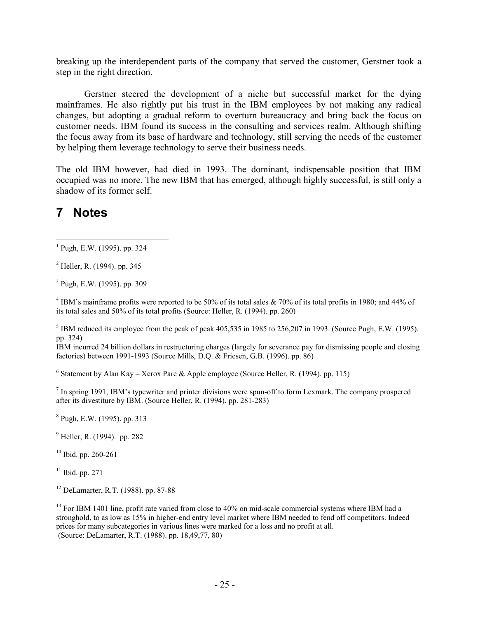breaking up the interdependent parts of the company that served the customer, Gerstner took a step in the right direction.

 Gerstner steered the development of a niche but successful market for the dying mainframes. He also rightly put his trust in the IBM employees by not making any radical changes, but adopting a gradual reform to overturn bureaucracy and bring back the focus on customer needs. IBM found its success in the consulting and services realm. Although shifting the focus away from its base of hardware and technology, still serving the needs of the customer by helping them leverage technology to serve their business needs.

The old IBM however, had died in 1993. The dominant, indispensable position that IBM occupied was no more. The new IBM that has emerged, although highly successful, is still only a shadow of its former self.

### 7 Notes

3 Pugh, E.W. (1995). pp. 309

 $4$  IBM's mainframe profits were reported to be 50% of its total sales & 70% of its total profits in 1980; and 44% of its total sales and 50% of its total profits (Source: Heller, R. (1994). pp. 260)

<sup>5</sup> IBM reduced its employee from the peak of peak  $405,535$  in 1985 to 256,207 in 1993. (Source Pugh, E.W. (1995). pp. 324)

IBM incurred 24 billion dollars in restructuring charges (largely for severance pay for dismissing people and closing factories) between 1991-1993 (Source Mills, D.Q. & Friesen, G.B. (1996). pp. 86)

<sup>6</sup> Statement by Alan Kay – Xerox Parc & Apple employee (Source Heller, R. (1994). pp. 115)

 $<sup>7</sup>$  In spring 1991, IBM's typewriter and printer divisions were spun-off to form Lexmark. The company prospered</sup> after its divestiture by IBM. (Source Heller, R. (1994). pp. 281-283)

8 Pugh, E.W. (1995). pp. 313

<sup>9</sup> Heller, R. (1994). pp. 282

<sup>10</sup> Ibid. pp. 260-261

 $11$  Ibid. pp. 271

<sup>12</sup> DeLamarter, R.T. (1988). pp. 87-88

<sup>13</sup> For IBM 1401 line, profit rate varied from close to 40% on mid-scale commercial systems where IBM had a stronghold, to as low as 15% in higher-end entry level market where IBM needed to fend off competitors. Indeed prices for many subcategories in various lines were marked for a loss and no profit at all. (Source: DeLamarter, R.T. (1988). pp. 18,49,77, 80)

 1 Pugh, E.W. (1995). pp. 324

<sup>&</sup>lt;sup>2</sup> Heller, R. (1994). pp. 345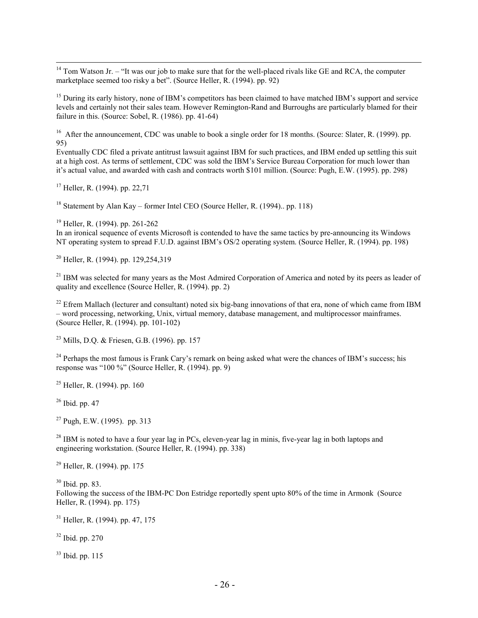- $14$  Tom Watson Jr. – "It was our job to make sure that for the well-placed rivals like GE and RCA, the computer marketplace seemed too risky a bet". (Source Heller, R. (1994). pp. 92)

<sup>15</sup> During its early history, none of IBM's competitors has been claimed to have matched IBM's support and service levels and certainly not their sales team. However Remington-Rand and Burroughs are particularly blamed for their failure in this. (Source: Sobel, R.  $(1986)$ . pp. 41-64)

<sup>16</sup> After the announcement, CDC was unable to book a single order for 18 months. (Source: Slater, R. (1999), pp. 95)

Eventually CDC filed a private antitrust lawsuit against IBM for such practices, and IBM ended up settling this suit at a high cost. As terms of settlement, CDC was sold the IBM's Service Bureau Corporation for much lower than it's actual value, and awarded with cash and contracts worth \$101 million. (Source: Pugh, E.W. (1995). pp. 298)

 $17$  Heller, R. (1994), pp. 22.71

<sup>18</sup> Statement by Alan Kay – former Intel CEO (Source Heller, R. (1994).. pp. 118)

<sup>19</sup> Heller, R. (1994). pp. 261-262

In an ironical sequence of events Microsoft is contended to have the same tactics by pre-announcing its Windows NT operating system to spread F.U.D. against IBM's OS/2 operating system. (Source Heller, R. (1994). pp. 198)

 $^{20}$  Heller, R. (1994). pp. 129,254,319

<sup>21</sup> IBM was selected for many years as the Most Admired Corporation of America and noted by its peers as leader of quality and excellence (Source Heller, R. (1994). pp. 2)

 $^{22}$  Efrem Mallach (lecturer and consultant) noted six big-bang innovations of that era, none of which came from IBM – word processing, networking, Unix, virtual memory, database management, and multiprocessor mainframes. (Source Heller, R. (1994). pp. 101-102)

<sup>23</sup> Mills, D.Q. & Friesen, G.B. (1996). pp. 157

<sup>24</sup> Perhaps the most famous is Frank Cary's remark on being asked what were the chances of IBM's success; his response was "100 %" (Source Heller, R. (1994). pp. 9)

 $25$  Heller, R. (1994). pp. 160

<sup>26</sup> Ibid. pp. 47

 $27$  Pugh, E.W. (1995). pp. 313

 $^{28}$  IBM is noted to have a four year lag in PCs, eleven-year lag in minis, five-year lag in both laptops and engineering workstation. (Source Heller, R. (1994). pp. 338)

<sup>29</sup> Heller, R. (1994). pp. 175

 $30$  Ibid. pp. 83.

Following the success of the IBM-PC Don Estridge reportedly spent upto 80% of the time in Armonk (Source Heller, R. (1994). pp. 175)

<sup>31</sup> Heller, R. (1994). pp. 47, 175

<sup>32</sup> Ibid. pp. 270

<sup>33</sup> Ibid. pp. 115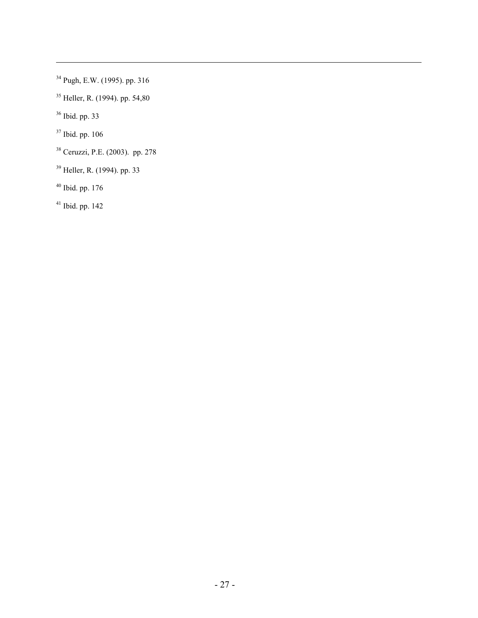- Pugh, E.W. (1995). pp. 316
- Heller, R. (1994). pp. 54,80
- Ibid. pp. 33

-

- Ibid. pp. 106
- Ceruzzi, P.E. (2003). pp. 278
- Heller, R. (1994). pp. 33
- Ibid. pp. 176
- Ibid. pp. 142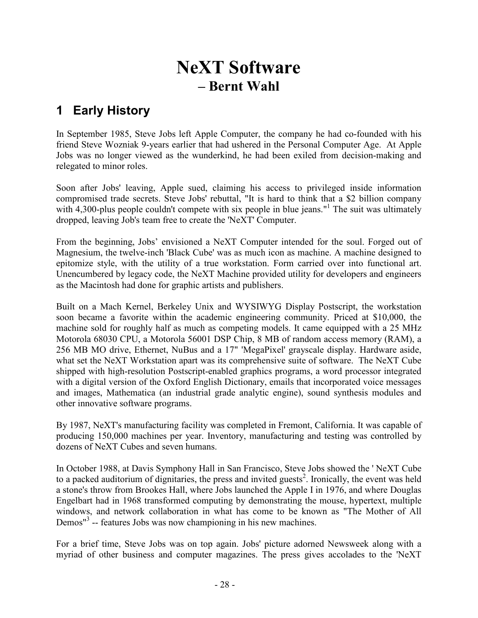## NeXT Software – Bernt Wahl

### 1 Early History

In September 1985, Steve Jobs left Apple Computer, the company he had co-founded with his friend Steve Wozniak 9-years earlier that had ushered in the Personal Computer Age. At Apple Jobs was no longer viewed as the wunderkind, he had been exiled from decision-making and relegated to minor roles.

Soon after Jobs' leaving, Apple sued, claiming his access to privileged inside information compromised trade secrets. Steve Jobs' rebuttal, "It is hard to think that a \$2 billion company with 4,300-plus people couldn't compete with six people in blue jeans."<sup>1</sup> The suit was ultimately dropped, leaving Job's team free to create the 'NeXT' Computer.

From the beginning, Jobs' envisioned a NeXT Computer intended for the soul. Forged out of Magnesium, the twelve-inch 'Black Cube' was as much icon as machine. A machine designed to epitomize style, with the utility of a true workstation. Form carried over into functional art. Unencumbered by legacy code, the NeXT Machine provided utility for developers and engineers as the Macintosh had done for graphic artists and publishers.

Built on a Mach Kernel, Berkeley Unix and WYSIWYG Display Postscript, the workstation soon became a favorite within the academic engineering community. Priced at \$10,000, the machine sold for roughly half as much as competing models. It came equipped with a 25 MHz Motorola 68030 CPU, a Motorola 56001 DSP Chip, 8 MB of random access memory (RAM), a 256 MB MO drive, Ethernet, NuBus and a 17" 'MegaPixel' grayscale display. Hardware aside, what set the NeXT Workstation apart was its comprehensive suite of software. The NeXT Cube shipped with high-resolution Postscript-enabled graphics programs, a word processor integrated with a digital version of the Oxford English Dictionary, emails that incorporated voice messages and images, Mathematica (an industrial grade analytic engine), sound synthesis modules and other innovative software programs.

By 1987, NeXT's manufacturing facility was completed in Fremont, California. It was capable of producing 150,000 machines per year. Inventory, manufacturing and testing was controlled by dozens of NeXT Cubes and seven humans.

In October 1988, at Davis Symphony Hall in San Francisco, Steve Jobs showed the ' NeXT Cube to a packed auditorium of dignitaries, the press and invited guests<sup>2</sup>. Ironically, the event was held a stone's throw from Brookes Hall, where Jobs launched the Apple I in 1976, and where Douglas Engelbart had in 1968 transformed computing by demonstrating the mouse, hypertext, multiple windows, and network collaboration in what has come to be known as "The Mother of All Demos"<sup>3</sup> -- features Jobs was now championing in his new machines.

For a brief time, Steve Jobs was on top again. Jobs' picture adorned Newsweek along with a myriad of other business and computer magazines. The press gives accolades to the 'NeXT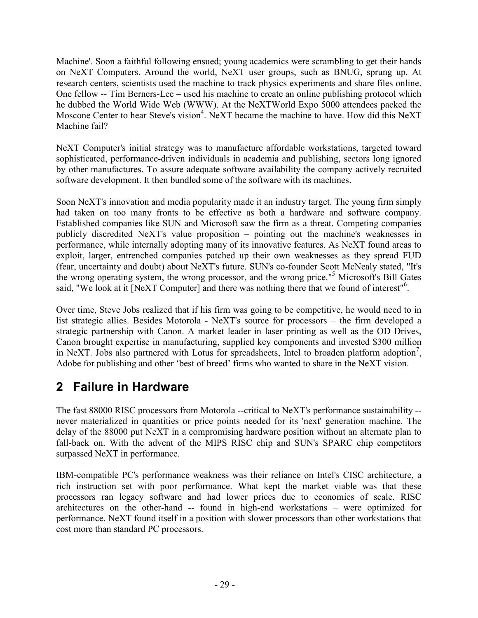Machine'. Soon a faithful following ensued; young academics were scrambling to get their hands on NeXT Computers. Around the world, NeXT user groups, such as BNUG, sprung up. At research centers, scientists used the machine to track physics experiments and share files online. One fellow -- Tim Berners-Lee – used his machine to create an online publishing protocol which he dubbed the World Wide Web (WWW). At the NeXTWorld Expo 5000 attendees packed the Moscone Center to hear Steve's vision<sup>4</sup>. NeXT became the machine to have. How did this NeXT Machine fail?

NeXT Computer's initial strategy was to manufacture affordable workstations, targeted toward sophisticated, performance-driven individuals in academia and publishing, sectors long ignored by other manufactures. To assure adequate software availability the company actively recruited software development. It then bundled some of the software with its machines.

Soon NeXT's innovation and media popularity made it an industry target. The young firm simply had taken on too many fronts to be effective as both a hardware and software company. Established companies like SUN and Microsoft saw the firm as a threat. Competing companies publicly discredited NeXT's value proposition – pointing out the machine's weaknesses in performance, while internally adopting many of its innovative features. As NeXT found areas to exploit, larger, entrenched companies patched up their own weaknesses as they spread FUD (fear, uncertainty and doubt) about NeXT's future. SUN's co-founder Scott McNealy stated, "It's the wrong operating system, the wrong processor, and the wrong price."<sup>5</sup> Microsoft's Bill Gates said, "We look at it [NeXT Computer] and there was nothing there that we found of interest"<sup>6</sup>.

Over time, Steve Jobs realized that if his firm was going to be competitive, he would need to in list strategic allies. Besides Motorola - NeXT's source for processors – the firm developed a strategic partnership with Canon. A market leader in laser printing as well as the OD Drives, Canon brought expertise in manufacturing, supplied key components and invested \$300 million in NeXT. Jobs also partnered with Lotus for spreadsheets, Intel to broaden platform adoption<sup>7</sup>, Adobe for publishing and other 'best of breed' firms who wanted to share in the NeXT vision.

## 2 Failure in Hardware

The fast 88000 RISC processors from Motorola --critical to NeXT's performance sustainability - never materialized in quantities or price points needed for its 'next' generation machine. The delay of the 88000 put NeXT in a compromising hardware position without an alternate plan to fall-back on. With the advent of the MIPS RISC chip and SUN's SPARC chip competitors surpassed NeXT in performance.

IBM-compatible PC's performance weakness was their reliance on Intel's CISC architecture, a rich instruction set with poor performance. What kept the market viable was that these processors ran legacy software and had lower prices due to economies of scale. RISC architectures on the other-hand -- found in high-end workstations – were optimized for performance. NeXT found itself in a position with slower processors than other workstations that cost more than standard PC processors.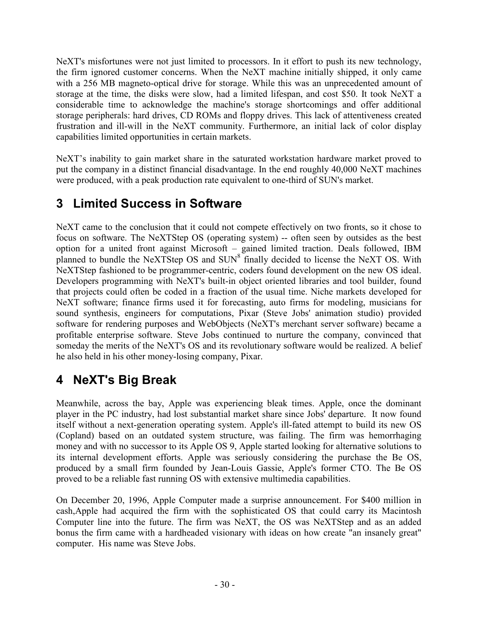NeXT's misfortunes were not just limited to processors. In it effort to push its new technology, the firm ignored customer concerns. When the NeXT machine initially shipped, it only came with a 256 MB magneto-optical drive for storage. While this was an unprecedented amount of storage at the time, the disks were slow, had a limited lifespan, and cost \$50. It took NeXT a considerable time to acknowledge the machine's storage shortcomings and offer additional storage peripherals: hard drives, CD ROMs and floppy drives. This lack of attentiveness created frustration and ill-will in the NeXT community. Furthermore, an initial lack of color display capabilities limited opportunities in certain markets.

NeXT's inability to gain market share in the saturated workstation hardware market proved to put the company in a distinct financial disadvantage. In the end roughly 40,000 NeXT machines were produced, with a peak production rate equivalent to one-third of SUN's market.

## 3 Limited Success in Software

NeXT came to the conclusion that it could not compete effectively on two fronts, so it chose to focus on software. The NeXTStep OS (operating system) -- often seen by outsides as the best option for a united front against Microsoft – gained limited traction. Deals followed, IBM planned to bundle the NeXTStep OS and SUN<sup>8</sup> finally decided to license the NeXT OS. With NeXTStep fashioned to be programmer-centric, coders found development on the new OS ideal. Developers programming with NeXT's built-in object oriented libraries and tool builder, found that projects could often be coded in a fraction of the usual time. Niche markets developed for NeXT software; finance firms used it for forecasting, auto firms for modeling, musicians for sound synthesis, engineers for computations, Pixar (Steve Jobs' animation studio) provided software for rendering purposes and WebObjects (NeXT's merchant server software) became a profitable enterprise software. Steve Jobs continued to nurture the company, convinced that someday the merits of the NeXT's OS and its revolutionary software would be realized. A belief he also held in his other money-losing company, Pixar.

## 4 NeXT's Big Break

Meanwhile, across the bay, Apple was experiencing bleak times. Apple, once the dominant player in the PC industry, had lost substantial market share since Jobs' departure. It now found itself without a next-generation operating system. Apple's ill-fated attempt to build its new OS (Copland) based on an outdated system structure, was failing. The firm was hemorrhaging money and with no successor to its Apple OS 9, Apple started looking for alternative solutions to its internal development efforts. Apple was seriously considering the purchase the Be OS, produced by a small firm founded by Jean-Louis Gassie, Apple's former CTO. The Be OS proved to be a reliable fast running OS with extensive multimedia capabilities.

On December 20, 1996, Apple Computer made a surprise announcement. For \$400 million in cash,Apple had acquired the firm with the sophisticated OS that could carry its Macintosh Computer line into the future. The firm was NeXT, the OS was NeXTStep and as an added bonus the firm came with a hardheaded visionary with ideas on how create "an insanely great" computer. His name was Steve Jobs.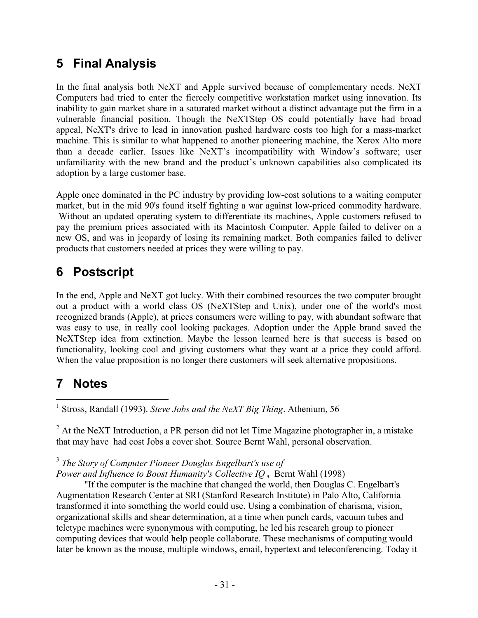### 5 Final Analysis

In the final analysis both NeXT and Apple survived because of complementary needs. NeXT Computers had tried to enter the fiercely competitive workstation market using innovation. Its inability to gain market share in a saturated market without a distinct advantage put the firm in a vulnerable financial position. Though the NeXTStep OS could potentially have had broad appeal, NeXT's drive to lead in innovation pushed hardware costs too high for a mass-market machine. This is similar to what happened to another pioneering machine, the Xerox Alto more than a decade earlier. Issues like NeXT's incompatibility with Window's software; user unfamiliarity with the new brand and the product's unknown capabilities also complicated its adoption by a large customer base.

Apple once dominated in the PC industry by providing low-cost solutions to a waiting computer market, but in the mid 90's found itself fighting a war against low-priced commodity hardware. Without an updated operating system to differentiate its machines, Apple customers refused to pay the premium prices associated with its Macintosh Computer. Apple failed to deliver on a new OS, and was in jeopardy of losing its remaining market. Both companies failed to deliver products that customers needed at prices they were willing to pay.

## 6 Postscript

In the end, Apple and NeXT got lucky. With their combined resources the two computer brought out a product with a world class OS (NeXTStep and Unix), under one of the world's most recognized brands (Apple), at prices consumers were willing to pay, with abundant software that was easy to use, in really cool looking packages. Adoption under the Apple brand saved the NeXTStep idea from extinction. Maybe the lesson learned here is that success is based on functionality, looking cool and giving customers what they want at a price they could afford. When the value proposition is no longer there customers will seek alternative propositions.

## 7 Notes

<sup>1</sup> Stross, Randall (1993). Steve Jobs and the NeXT Big Thing. Athenium, 56

 $2^2$  At the NeXT Introduction, a PR person did not let Time Magazine photographer in, a mistake that may have had cost Jobs a cover shot. Source Bernt Wahl, personal observation.

#### $3$  The Story of Computer Pioneer Douglas Engelbart's use of

Power and Influence to Boost Humanity's Collective IQ , Bernt Wahl (1998)

"If the computer is the machine that changed the world, then Douglas C. Engelbart's Augmentation Research Center at SRI (Stanford Research Institute) in Palo Alto, California transformed it into something the world could use. Using a combination of charisma, vision, organizational skills and shear determination, at a time when punch cards, vacuum tubes and teletype machines were synonymous with computing, he led his research group to pioneer computing devices that would help people collaborate. These mechanisms of computing would later be known as the mouse, multiple windows, email, hypertext and teleconferencing. Today it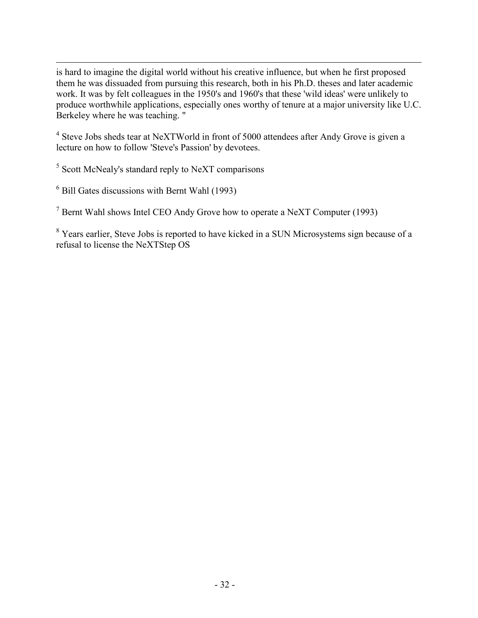is hard to imagine the digital world without his creative influence, but when he first proposed them he was dissuaded from pursuing this research, both in his Ph.D. theses and later academic work. It was by felt colleagues in the 1950's and 1960's that these 'wild ideas' were unlikely to produce worthwhile applications, especially ones worthy of tenure at a major university like U.C. Berkeley where he was teaching. "

<sup>4</sup> Steve Jobs sheds tear at NeXTWorld in front of 5000 attendees after Andy Grove is given a lecture on how to follow 'Steve's Passion' by devotees.

<sup>5</sup> Scott McNealy's standard reply to NeXT comparisons

6 Bill Gates discussions with Bernt Wahl (1993)

 $7$  Bernt Wahl shows Intel CEO Andy Grove how to operate a NeXT Computer (1993)

<sup>8</sup> Years earlier, Steve Jobs is reported to have kicked in a SUN Microsystems sign because of a refusal to license the NeXTStep OS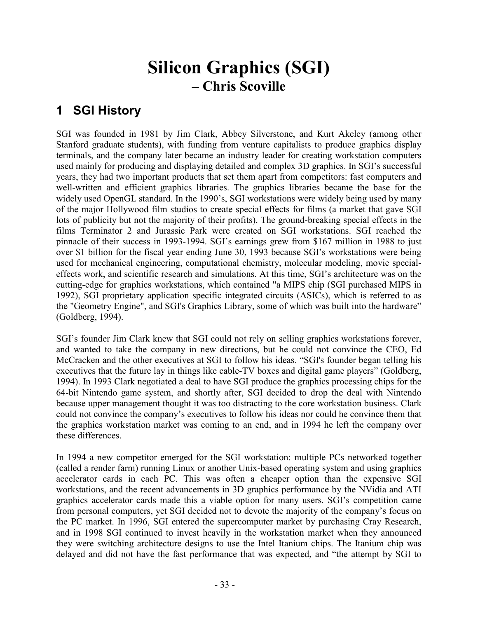## Silicon Graphics (SGI) – Chris Scoville

## 1 SGI History

SGI was founded in 1981 by Jim Clark, Abbey Silverstone, and Kurt Akeley (among other Stanford graduate students), with funding from venture capitalists to produce graphics display terminals, and the company later became an industry leader for creating workstation computers used mainly for producing and displaying detailed and complex 3D graphics. In SGI's successful years, they had two important products that set them apart from competitors: fast computers and well-written and efficient graphics libraries. The graphics libraries became the base for the widely used OpenGL standard. In the 1990's, SGI workstations were widely being used by many of the major Hollywood film studios to create special effects for films (a market that gave SGI lots of publicity but not the majority of their profits). The ground-breaking special effects in the films Terminator 2 and Jurassic Park were created on SGI workstations. SGI reached the pinnacle of their success in 1993-1994. SGI's earnings grew from \$167 million in 1988 to just over \$1 billion for the fiscal year ending June 30, 1993 because SGI's workstations were being used for mechanical engineering, computational chemistry, molecular modeling, movie specialeffects work, and scientific research and simulations. At this time, SGI's architecture was on the cutting-edge for graphics workstations, which contained "a MIPS chip (SGI purchased MIPS in 1992), SGI proprietary application specific integrated circuits (ASICs), which is referred to as the "Geometry Engine", and SGI's Graphics Library, some of which was built into the hardware" (Goldberg, 1994).

SGI's founder Jim Clark knew that SGI could not rely on selling graphics workstations forever, and wanted to take the company in new directions, but he could not convince the CEO, Ed McCracken and the other executives at SGI to follow his ideas. "SGI's founder began telling his executives that the future lay in things like cable-TV boxes and digital game players" (Goldberg, 1994). In 1993 Clark negotiated a deal to have SGI produce the graphics processing chips for the 64-bit Nintendo game system, and shortly after, SGI decided to drop the deal with Nintendo because upper management thought it was too distracting to the core workstation business. Clark could not convince the company's executives to follow his ideas nor could he convince them that the graphics workstation market was coming to an end, and in 1994 he left the company over these differences.

In 1994 a new competitor emerged for the SGI workstation: multiple PCs networked together (called a render farm) running Linux or another Unix-based operating system and using graphics accelerator cards in each PC. This was often a cheaper option than the expensive SGI workstations, and the recent advancements in 3D graphics performance by the NVidia and ATI graphics accelerator cards made this a viable option for many users. SGI's competition came from personal computers, yet SGI decided not to devote the majority of the company's focus on the PC market. In 1996, SGI entered the supercomputer market by purchasing Cray Research, and in 1998 SGI continued to invest heavily in the workstation market when they announced they were switching architecture designs to use the Intel Itanium chips. The Itanium chip was delayed and did not have the fast performance that was expected, and "the attempt by SGI to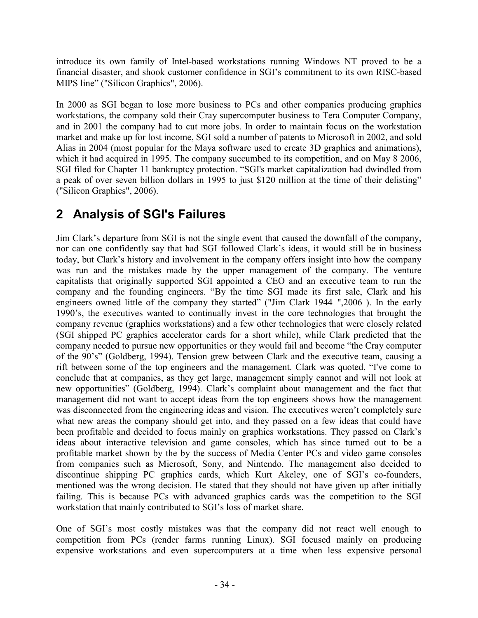introduce its own family of Intel-based workstations running Windows NT proved to be a financial disaster, and shook customer confidence in SGI's commitment to its own RISC-based MIPS line" ("Silicon Graphics", 2006).

In 2000 as SGI began to lose more business to PCs and other companies producing graphics workstations, the company sold their Cray supercomputer business to Tera Computer Company, and in 2001 the company had to cut more jobs. In order to maintain focus on the workstation market and make up for lost income, SGI sold a number of patents to Microsoft in 2002, and sold Alias in 2004 (most popular for the Maya software used to create 3D graphics and animations), which it had acquired in 1995. The company succumbed to its competition, and on May 8 2006, SGI filed for Chapter 11 bankruptcy protection. "SGI's market capitalization had dwindled from a peak of over seven billion dollars in 1995 to just \$120 million at the time of their delisting" ("Silicon Graphics", 2006).

## 2 Analysis of SGI's Failures

Jim Clark's departure from SGI is not the single event that caused the downfall of the company, nor can one confidently say that had SGI followed Clark's ideas, it would still be in business today, but Clark's history and involvement in the company offers insight into how the company was run and the mistakes made by the upper management of the company. The venture capitalists that originally supported SGI appointed a CEO and an executive team to run the company and the founding engineers. "By the time SGI made its first sale, Clark and his engineers owned little of the company they started" ("Jim Clark 1944–",2006 ). In the early 1990's, the executives wanted to continually invest in the core technologies that brought the company revenue (graphics workstations) and a few other technologies that were closely related (SGI shipped PC graphics accelerator cards for a short while), while Clark predicted that the company needed to pursue new opportunities or they would fail and become "the Cray computer of the 90's" (Goldberg, 1994). Tension grew between Clark and the executive team, causing a rift between some of the top engineers and the management. Clark was quoted, "I've come to conclude that at companies, as they get large, management simply cannot and will not look at new opportunities" (Goldberg, 1994). Clark's complaint about management and the fact that management did not want to accept ideas from the top engineers shows how the management was disconnected from the engineering ideas and vision. The executives weren't completely sure what new areas the company should get into, and they passed on a few ideas that could have been profitable and decided to focus mainly on graphics workstations. They passed on Clark's ideas about interactive television and game consoles, which has since turned out to be a profitable market shown by the by the success of Media Center PCs and video game consoles from companies such as Microsoft, Sony, and Nintendo. The management also decided to discontinue shipping PC graphics cards, which Kurt Akeley, one of SGI's co-founders, mentioned was the wrong decision. He stated that they should not have given up after initially failing. This is because PCs with advanced graphics cards was the competition to the SGI workstation that mainly contributed to SGI's loss of market share.

One of SGI's most costly mistakes was that the company did not react well enough to competition from PCs (render farms running Linux). SGI focused mainly on producing expensive workstations and even supercomputers at a time when less expensive personal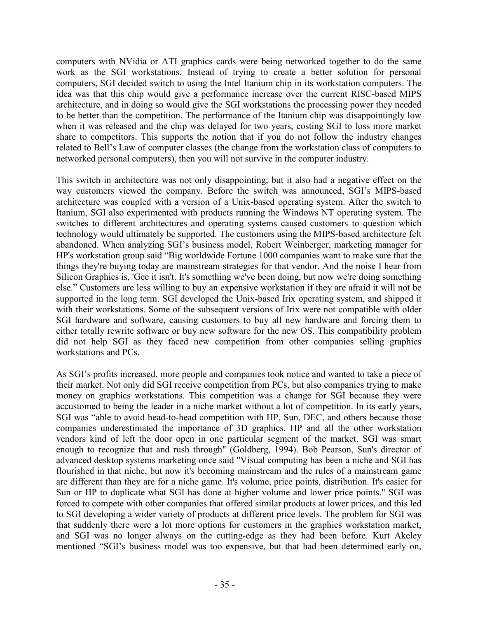computers with NVidia or ATI graphics cards were being networked together to do the same work as the SGI workstations. Instead of trying to create a better solution for personal computers, SGI decided switch to using the Intel Itanium chip in its workstation computers. The idea was that this chip would give a performance increase over the current RISC-based MIPS architecture, and in doing so would give the SGI workstations the processing power they needed to be better than the competition. The performance of the Itanium chip was disappointingly low when it was released and the chip was delayed for two years, costing SGI to loss more market share to competitors. This supports the notion that if you do not follow the industry changes related to Bell's Law of computer classes (the change from the workstation class of computers to networked personal computers), then you will not survive in the computer industry.

This switch in architecture was not only disappointing, but it also had a negative effect on the way customers viewed the company. Before the switch was announced, SGI's MIPS-based architecture was coupled with a version of a Unix-based operating system. After the switch to Itanium, SGI also experimented with products running the Windows NT operating system. The switches to different architectures and operating systems caused customers to question which technology would ultimately be supported. The customers using the MIPS-based architecture felt abandoned. When analyzing SGI's business model, Robert Weinberger, marketing manager for HP's workstation group said "Big worldwide Fortune 1000 companies want to make sure that the things they're buying today are mainstream strategies for that vendor. And the noise I hear from Silicon Graphics is, 'Gee it isn't. It's something we've been doing, but now we're doing something else." Customers are less willing to buy an expensive workstation if they are afraid it will not be supported in the long term. SGI developed the Unix-based Irix operating system, and shipped it with their workstations. Some of the subsequent versions of Irix were not compatible with older SGI hardware and software, causing customers to buy all new hardware and forcing them to either totally rewrite software or buy new software for the new OS. This compatibility problem did not help SGI as they faced new competition from other companies selling graphics workstations and PCs.

As SGI's profits increased, more people and companies took notice and wanted to take a piece of their market. Not only did SGI receive competition from PCs, but also companies trying to make money on graphics workstations. This competition was a change for SGI because they were accustomed to being the leader in a niche market without a lot of competition. In its early years, SGI was "able to avoid head-to-head competition with HP, Sun, DEC, and others because those companies underestimated the importance of 3D graphics. HP and all the other workstation vendors kind of left the door open in one particular segment of the market. SGI was smart enough to recognize that and rush through" (Goldberg, 1994). Bob Pearson, Sun's director of advanced desktop systems marketing once said "Visual computing has been a niche and SGI has flourished in that niche, but now it's becoming mainstream and the rules of a mainstream game are different than they are for a niche game. It's volume, price points, distribution. It's easier for Sun or HP to duplicate what SGI has done at higher volume and lower price points." SGI was forced to compete with other companies that offered similar products at lower prices, and this led to SGI developing a wider variety of products at different price levels. The problem for SGI was that suddenly there were a lot more options for customers in the graphics workstation market, and SGI was no longer always on the cutting-edge as they had been before. Kurt Akeley mentioned "SGI's business model was too expensive, but that had been determined early on,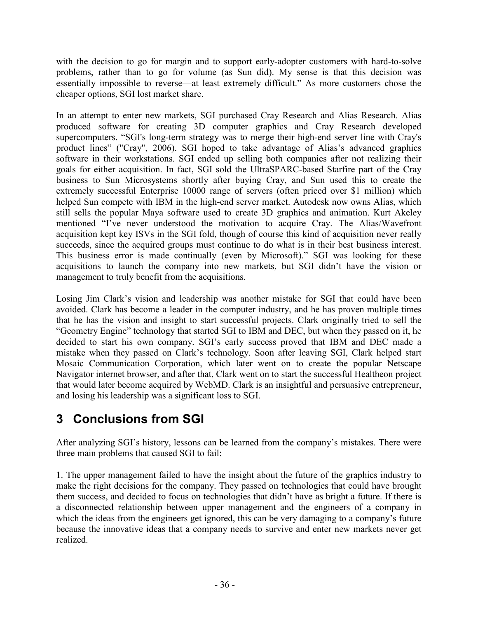with the decision to go for margin and to support early-adopter customers with hard-to-solve problems, rather than to go for volume (as Sun did). My sense is that this decision was essentially impossible to reverse—at least extremely difficult." As more customers chose the cheaper options, SGI lost market share.

In an attempt to enter new markets, SGI purchased Cray Research and Alias Research. Alias produced software for creating 3D computer graphics and Cray Research developed supercomputers. "SGI's long-term strategy was to merge their high-end server line with Cray's product lines" ("Cray", 2006). SGI hoped to take advantage of Alias's advanced graphics software in their workstations. SGI ended up selling both companies after not realizing their goals for either acquisition. In fact, SGI sold the UltraSPARC-based Starfire part of the Cray business to Sun Microsystems shortly after buying Cray, and Sun used this to create the extremely successful Enterprise 10000 range of servers (often priced over \$1 million) which helped Sun compete with IBM in the high-end server market. Autodesk now owns Alias, which still sells the popular Maya software used to create 3D graphics and animation. Kurt Akeley mentioned "I've never understood the motivation to acquire Cray. The Alias/Wavefront acquisition kept key ISVs in the SGI fold, though of course this kind of acquisition never really succeeds, since the acquired groups must continue to do what is in their best business interest. This business error is made continually (even by Microsoft)." SGI was looking for these acquisitions to launch the company into new markets, but SGI didn't have the vision or management to truly benefit from the acquisitions.

Losing Jim Clark's vision and leadership was another mistake for SGI that could have been avoided. Clark has become a leader in the computer industry, and he has proven multiple times that he has the vision and insight to start successful projects. Clark originally tried to sell the "Geometry Engine" technology that started SGI to IBM and DEC, but when they passed on it, he decided to start his own company. SGI's early success proved that IBM and DEC made a mistake when they passed on Clark's technology. Soon after leaving SGI, Clark helped start Mosaic Communication Corporation, which later went on to create the popular Netscape Navigator internet browser, and after that, Clark went on to start the successful Healtheon project that would later become acquired by WebMD. Clark is an insightful and persuasive entrepreneur, and losing his leadership was a significant loss to SGI.

## 3 Conclusions from SGI

After analyzing SGI's history, lessons can be learned from the company's mistakes. There were three main problems that caused SGI to fail:

1. The upper management failed to have the insight about the future of the graphics industry to make the right decisions for the company. They passed on technologies that could have brought them success, and decided to focus on technologies that didn't have as bright a future. If there is a disconnected relationship between upper management and the engineers of a company in which the ideas from the engineers get ignored, this can be very damaging to a company's future because the innovative ideas that a company needs to survive and enter new markets never get realized.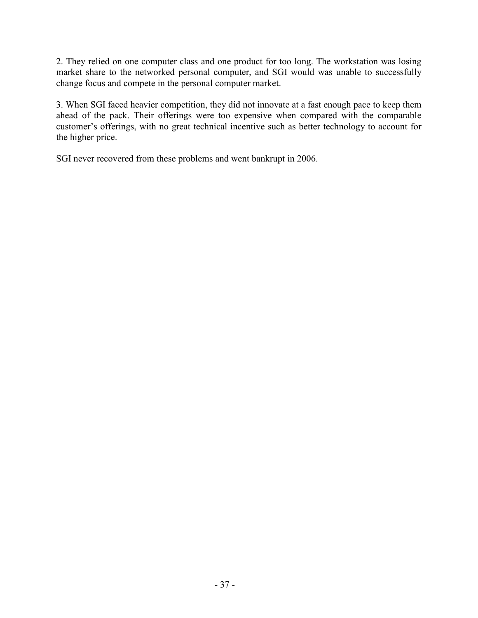2. They relied on one computer class and one product for too long. The workstation was losing market share to the networked personal computer, and SGI would was unable to successfully change focus and compete in the personal computer market.

3. When SGI faced heavier competition, they did not innovate at a fast enough pace to keep them ahead of the pack. Their offerings were too expensive when compared with the comparable customer's offerings, with no great technical incentive such as better technology to account for the higher price.

SGI never recovered from these problems and went bankrupt in 2006.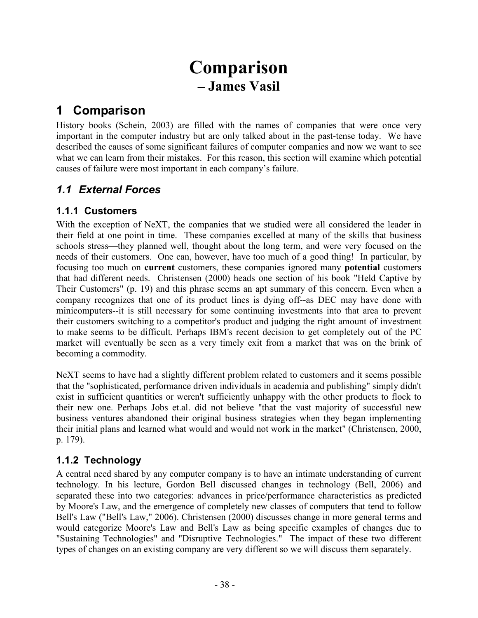## Comparison – James Vasil

### 1 Comparison

History books (Schein, 2003) are filled with the names of companies that were once very important in the computer industry but are only talked about in the past-tense today. We have described the causes of some significant failures of computer companies and now we want to see what we can learn from their mistakes. For this reason, this section will examine which potential causes of failure were most important in each company's failure.

#### 1.1 External Forces

#### 1.1.1 Customers

With the exception of NeXT, the companies that we studied were all considered the leader in their field at one point in time. These companies excelled at many of the skills that business schools stress—they planned well, thought about the long term, and were very focused on the needs of their customers. One can, however, have too much of a good thing! In particular, by focusing too much on current customers, these companies ignored many potential customers that had different needs. Christensen (2000) heads one section of his book "Held Captive by Their Customers" (p. 19) and this phrase seems an apt summary of this concern. Even when a company recognizes that one of its product lines is dying off--as DEC may have done with minicomputers--it is still necessary for some continuing investments into that area to prevent their customers switching to a competitor's product and judging the right amount of investment to make seems to be difficult. Perhaps IBM's recent decision to get completely out of the PC market will eventually be seen as a very timely exit from a market that was on the brink of becoming a commodity.

NeXT seems to have had a slightly different problem related to customers and it seems possible that the "sophisticated, performance driven individuals in academia and publishing" simply didn't exist in sufficient quantities or weren't sufficiently unhappy with the other products to flock to their new one. Perhaps Jobs et.al. did not believe "that the vast majority of successful new business ventures abandoned their original business strategies when they began implementing their initial plans and learned what would and would not work in the market" (Christensen, 2000, p. 179).

#### 1.1.2 Technology

A central need shared by any computer company is to have an intimate understanding of current technology. In his lecture, Gordon Bell discussed changes in technology (Bell, 2006) and separated these into two categories: advances in price/performance characteristics as predicted by Moore's Law, and the emergence of completely new classes of computers that tend to follow Bell's Law ("Bell's Law," 2006). Christensen (2000) discusses change in more general terms and would categorize Moore's Law and Bell's Law as being specific examples of changes due to "Sustaining Technologies" and "Disruptive Technologies." The impact of these two different types of changes on an existing company are very different so we will discuss them separately.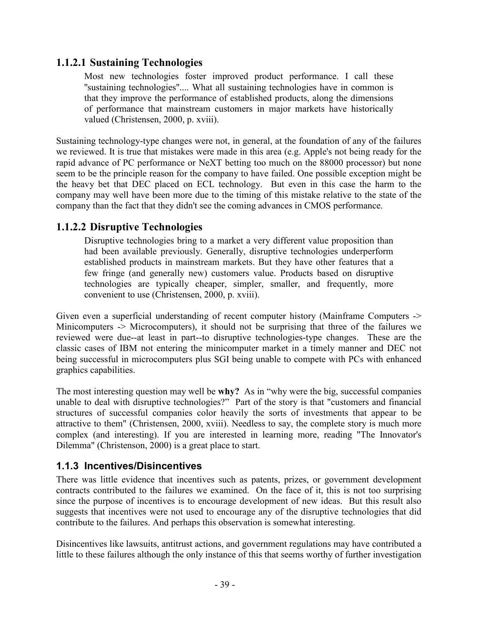#### 1.1.2.1 Sustaining Technologies

Most new technologies foster improved product performance. I call these "sustaining technologies".... What all sustaining technologies have in common is that they improve the performance of established products, along the dimensions of performance that mainstream customers in major markets have historically valued (Christensen, 2000, p. xviii).

Sustaining technology-type changes were not, in general, at the foundation of any of the failures we reviewed. It is true that mistakes were made in this area (e.g. Apple's not being ready for the rapid advance of PC performance or NeXT betting too much on the 88000 processor) but none seem to be the principle reason for the company to have failed. One possible exception might be the heavy bet that DEC placed on ECL technology. But even in this case the harm to the company may well have been more due to the timing of this mistake relative to the state of the company than the fact that they didn't see the coming advances in CMOS performance.

#### 1.1.2.2 Disruptive Technologies

Disruptive technologies bring to a market a very different value proposition than had been available previously. Generally, disruptive technologies underperform established products in mainstream markets. But they have other features that a few fringe (and generally new) customers value. Products based on disruptive technologies are typically cheaper, simpler, smaller, and frequently, more convenient to use (Christensen, 2000, p. xviii).

Given even a superficial understanding of recent computer history (Mainframe Computers -> Minicomputers -> Microcomputers), it should not be surprising that three of the failures we reviewed were due--at least in part--to disruptive technologies-type changes. These are the classic cases of IBM not entering the minicomputer market in a timely manner and DEC not being successful in microcomputers plus SGI being unable to compete with PCs with enhanced graphics capabilities.

The most interesting question may well be why? As in "why were the big, successful companies" unable to deal with disruptive technologies?" Part of the story is that "customers and financial structures of successful companies color heavily the sorts of investments that appear to be attractive to them" (Christensen, 2000, xviii). Needless to say, the complete story is much more complex (and interesting). If you are interested in learning more, reading "The Innovator's Dilemma" (Christenson, 2000) is a great place to start.

#### 1.1.3 Incentives/Disincentives

There was little evidence that incentives such as patents, prizes, or government development contracts contributed to the failures we examined. On the face of it, this is not too surprising since the purpose of incentives is to encourage development of new ideas. But this result also suggests that incentives were not used to encourage any of the disruptive technologies that did contribute to the failures. And perhaps this observation is somewhat interesting.

Disincentives like lawsuits, antitrust actions, and government regulations may have contributed a little to these failures although the only instance of this that seems worthy of further investigation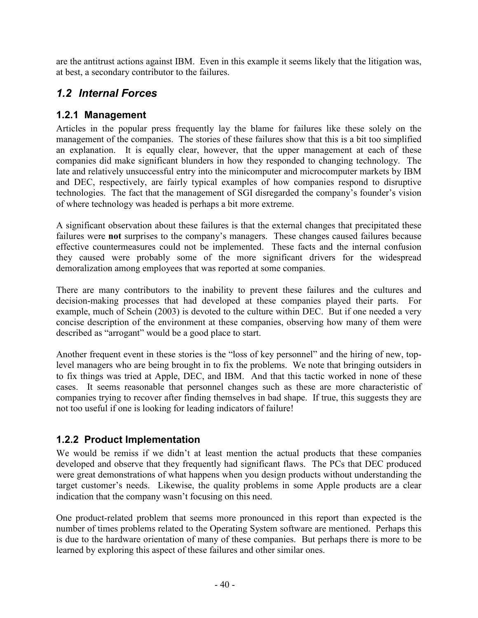are the antitrust actions against IBM. Even in this example it seems likely that the litigation was, at best, a secondary contributor to the failures.

#### 1.2 Internal Forces

#### 1.2.1 Management

Articles in the popular press frequently lay the blame for failures like these solely on the management of the companies. The stories of these failures show that this is a bit too simplified an explanation. It is equally clear, however, that the upper management at each of these companies did make significant blunders in how they responded to changing technology. The late and relatively unsuccessful entry into the minicomputer and microcomputer markets by IBM and DEC, respectively, are fairly typical examples of how companies respond to disruptive technologies. The fact that the management of SGI disregarded the company's founder's vision of where technology was headed is perhaps a bit more extreme.

A significant observation about these failures is that the external changes that precipitated these failures were not surprises to the company's managers. These changes caused failures because effective countermeasures could not be implemented. These facts and the internal confusion they caused were probably some of the more significant drivers for the widespread demoralization among employees that was reported at some companies.

There are many contributors to the inability to prevent these failures and the cultures and decision-making processes that had developed at these companies played their parts. For example, much of Schein (2003) is devoted to the culture within DEC. But if one needed a very concise description of the environment at these companies, observing how many of them were described as "arrogant" would be a good place to start.

Another frequent event in these stories is the "loss of key personnel" and the hiring of new, toplevel managers who are being brought in to fix the problems. We note that bringing outsiders in to fix things was tried at Apple, DEC, and IBM. And that this tactic worked in none of these cases. It seems reasonable that personnel changes such as these are more characteristic of companies trying to recover after finding themselves in bad shape. If true, this suggests they are not too useful if one is looking for leading indicators of failure!

#### 1.2.2 Product Implementation

We would be remiss if we didn't at least mention the actual products that these companies developed and observe that they frequently had significant flaws. The PCs that DEC produced were great demonstrations of what happens when you design products without understanding the target customer's needs. Likewise, the quality problems in some Apple products are a clear indication that the company wasn't focusing on this need.

One product-related problem that seems more pronounced in this report than expected is the number of times problems related to the Operating System software are mentioned. Perhaps this is due to the hardware orientation of many of these companies. But perhaps there is more to be learned by exploring this aspect of these failures and other similar ones.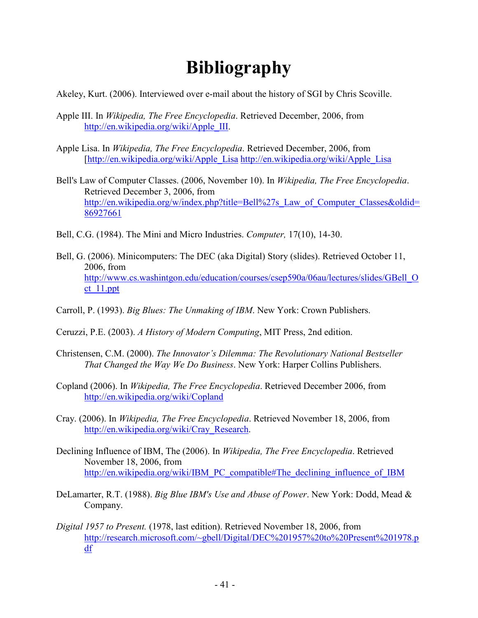## Bibliography

Akeley, Kurt. (2006). Interviewed over e-mail about the history of SGI by Chris Scoville.

- Apple III. In Wikipedia, The Free Encyclopedia. Retrieved December, 2006, from http://en.wikipedia.org/wiki/Apple\_III.
- Apple Lisa. In Wikipedia, The Free Encyclopedia. Retrieved December, 2006, from [http://en.wikipedia.org/wiki/Apple\_Lisa http://en.wikipedia.org/wiki/Apple\_Lisa
- Bell's Law of Computer Classes. (2006, November 10). In Wikipedia, The Free Encyclopedia. Retrieved December 3, 2006, from http://en.wikipedia.org/w/index.php?title=Bell%27s\_Law\_of\_Computer\_Classes&oldid= 86927661
- Bell, C.G. (1984). The Mini and Micro Industries. Computer, 17(10), 14-30.
- Bell, G. (2006). Minicomputers: The DEC (aka Digital) Story (slides). Retrieved October 11, 2006, from http://www.cs.washintgon.edu/education/courses/csep590a/06au/lectures/slides/GBell\_O ct\_11.ppt
- Carroll, P. (1993). Big Blues: The Unmaking of IBM. New York: Crown Publishers.
- Ceruzzi, P.E. (2003). A History of Modern Computing, MIT Press, 2nd edition.
- Christensen, C.M. (2000). The Innovator's Dilemma: The Revolutionary National Bestseller That Changed the Way We Do Business. New York: Harper Collins Publishers.
- Copland (2006). In Wikipedia, The Free Encyclopedia. Retrieved December 2006, from http://en.wikipedia.org/wiki/Copland
- Cray. (2006). In Wikipedia, The Free Encyclopedia. Retrieved November 18, 2006, from http://en.wikipedia.org/wiki/Cray\_Research.
- Declining Influence of IBM, The (2006). In Wikipedia, The Free Encyclopedia. Retrieved November 18, 2006, from http://en.wikipedia.org/wiki/IBM\_PC\_compatible#The\_declining\_influence\_of\_IBM
- DeLamarter, R.T. (1988). Big Blue IBM's Use and Abuse of Power. New York: Dodd, Mead & Company.
- Digital 1957 to Present. (1978, last edition). Retrieved November 18, 2006, from http://research.microsoft.com/~gbell/Digital/DEC%201957%20to%20Present%201978.p df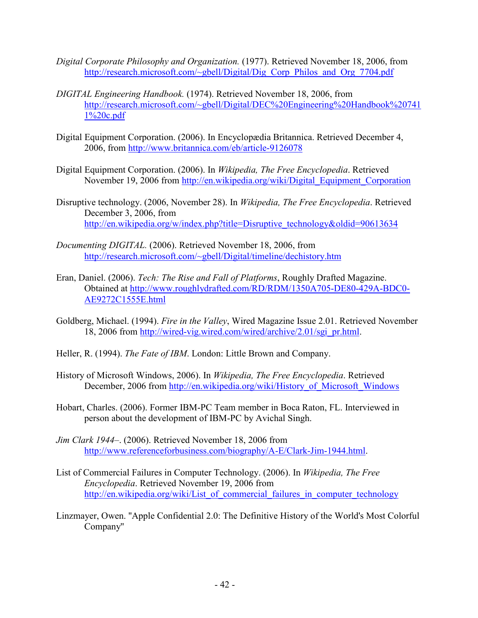- Digital Corporate Philosophy and Organization. (1977). Retrieved November 18, 2006, from http://research.microsoft.com/~gbell/Digital/Dig\_Corp\_Philos\_and\_Org\_7704.pdf
- DIGITAL Engineering Handbook. (1974). Retrieved November 18, 2006, from http://research.microsoft.com/~gbell/Digital/DEC%20Engineering%20Handbook%20741 1%20c.pdf
- Digital Equipment Corporation. (2006). In Encyclopædia Britannica. Retrieved December 4, 2006, from http://www.britannica.com/eb/article-9126078
- Digital Equipment Corporation. (2006). In Wikipedia, The Free Encyclopedia. Retrieved November 19, 2006 from http://en.wikipedia.org/wiki/Digital\_Equipment\_Corporation
- Disruptive technology. (2006, November 28). In Wikipedia, The Free Encyclopedia. Retrieved December 3, 2006, from http://en.wikipedia.org/w/index.php?title=Disruptive\_technology&oldid=90613634
- Documenting DIGITAL. (2006). Retrieved November 18, 2006, from http://research.microsoft.com/~gbell/Digital/timeline/dechistory.htm
- Eran, Daniel. (2006). Tech: The Rise and Fall of Platforms, Roughly Drafted Magazine. Obtained at http://www.roughlydrafted.com/RD/RDM/1350A705-DE80-429A-BDC0- AE9272C1555E.html
- Goldberg, Michael. (1994). Fire in the Valley, Wired Magazine Issue 2.01. Retrieved November 18, 2006 from http://wired-vig.wired.com/wired/archive/2.01/sgi\_pr.html.
- Heller, R. (1994). The Fate of IBM. London: Little Brown and Company.
- History of Microsoft Windows, 2006). In Wikipedia, The Free Encyclopedia. Retrieved December, 2006 from http://en.wikipedia.org/wiki/History\_of\_Microsoft\_Windows
- Hobart, Charles. (2006). Former IBM-PC Team member in Boca Raton, FL. Interviewed in person about the development of IBM-PC by Avichal Singh.
- Jim Clark 1944–. (2006). Retrieved November 18, 2006 from http://www.referenceforbusiness.com/biography/A-E/Clark-Jim-1944.html.
- List of Commercial Failures in Computer Technology. (2006). In Wikipedia, The Free Encyclopedia. Retrieved November 19, 2006 from http://en.wikipedia.org/wiki/List\_of\_commercial\_failures\_in\_computer\_technology\_
- Linzmayer, Owen. ''Apple Confidential 2.0: The Definitive History of the World's Most Colorful Company''